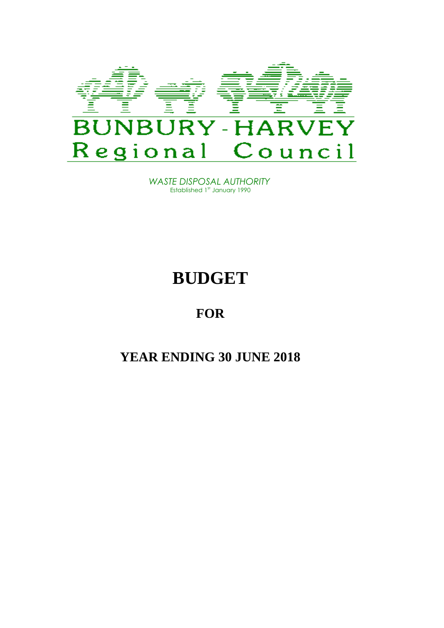

*WASTE DISPOSAL AUTHORITY* Established 1st January 1990

# **BUDGET**

# **FOR**

# **YEAR ENDING 30 JUNE 2018**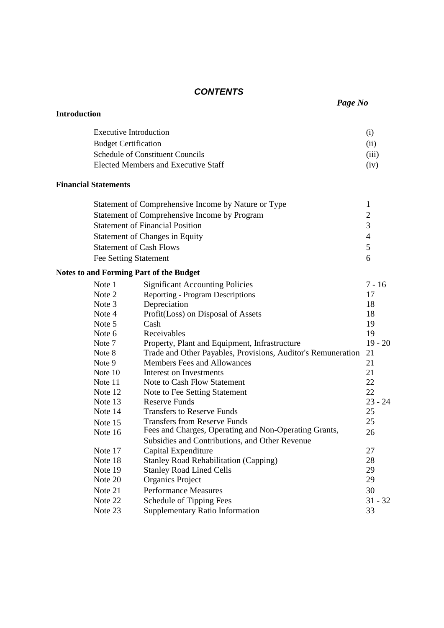### *CONTENTS*

|                     |                               | Page No                                                      |                |
|---------------------|-------------------------------|--------------------------------------------------------------|----------------|
| <b>Introduction</b> |                               |                                                              |                |
|                     | <b>Executive Introduction</b> |                                                              | (i)            |
|                     | <b>Budget Certification</b>   |                                                              | (ii)           |
|                     |                               | <b>Schedule of Constituent Councils</b>                      | (iii)          |
|                     |                               | <b>Elected Members and Executive Staff</b>                   | (iv)           |
|                     | <b>Financial Statements</b>   |                                                              |                |
|                     |                               | Statement of Comprehensive Income by Nature or Type          | $\mathbf{1}$   |
|                     |                               | Statement of Comprehensive Income by Program                 | $\overline{c}$ |
|                     |                               | <b>Statement of Financial Position</b>                       | 3              |
|                     |                               | <b>Statement of Changes in Equity</b>                        | $\overline{4}$ |
|                     |                               | <b>Statement of Cash Flows</b>                               | 5              |
|                     | Fee Setting Statement         |                                                              | 6              |
|                     |                               | <b>Notes to and Forming Part of the Budget</b>               |                |
|                     | Note 1                        | <b>Significant Accounting Policies</b>                       | $7 - 16$       |
|                     | Note 2                        | <b>Reporting - Program Descriptions</b>                      | 17             |
|                     | Note 3                        | Depreciation                                                 | 18             |
|                     | Note 4                        | Profit(Loss) on Disposal of Assets                           | 18             |
|                     | Note 5                        | Cash                                                         | 19             |
|                     | Note 6                        | Receivables                                                  | 19             |
|                     | Note 7                        | Property, Plant and Equipment, Infrastructure                | $19 - 20$      |
|                     | Note 8                        | Trade and Other Payables, Provisions, Auditor's Remuneration | 21             |
|                     | Note 9                        | <b>Members Fees and Allowances</b>                           | 21             |
|                     | Note 10                       | Interest on Investments                                      | 21             |
|                     | Note 11                       | Note to Cash Flow Statement                                  | 22             |
|                     | Note 12                       | Note to Fee Setting Statement                                | 22             |
|                     | Note 13                       | <b>Reserve Funds</b>                                         | $23 - 24$      |
|                     | Note 14                       | <b>Transfers to Reserve Funds</b>                            | 25             |
|                     | Note 15                       | <b>Transfers from Reserve Funds</b>                          | 25             |
|                     | Note 16                       | Fees and Charges, Operating and Non-Operating Grants,        | 26             |
|                     |                               | Subsidies and Contributions, and Other Revenue               |                |
|                     | Note 17                       | Capital Expenditure                                          | 27             |
|                     | Note 18                       | <b>Stanley Road Rehabilitation (Capping)</b>                 | 28             |
|                     | Note 19                       | <b>Stanley Road Lined Cells</b>                              | 29             |
|                     | Note 20                       | <b>Organics Project</b>                                      | 29             |
|                     | Note 21                       | <b>Performance Measures</b>                                  | 30             |
|                     | Note 22                       | Schedule of Tipping Fees                                     | $31 - 32$      |
|                     | Note 23                       | <b>Supplementary Ratio Information</b>                       | 33             |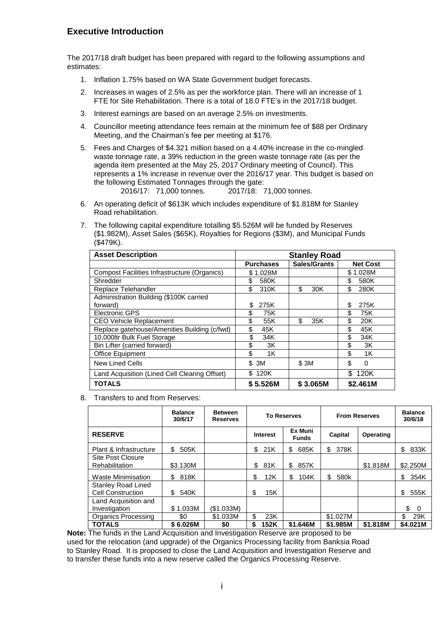### **Executive Introduction**

The 2017/18 draft budget has been prepared with regard to the following assumptions and estimates:

- 1. Inflation 1.75% based on WA State Government budget forecasts.
- 2. Increases in wages of 2.5% as per the workforce plan. There will an increase of 1 FTE for Site Rehabilitation. There is a total of 18.0 FTE's in the 2017/18 budget.
- 3. Interest earnings are based on an average 2.5% on investments.
- 4. Councillor meeting attendance fees remain at the minimum fee of \$88 per Ordinary Meeting, and the Chairman's fee per meeting at \$176.
- 5. Fees and Charges of \$4.321 million based on a 4.40% increase in the co-mingled waste tonnage rate, a 39% reduction in the green waste tonnage rate (as per the agenda item presented at the May 25, 2017 Ordinary meeting of Council). This represents a 1% increase in revenue over the 2016/17 year. This budget is based on the following Estimated Tonnages through the gate:<br>2016/17: 71,000 tonnes. 2017/18: 71,000 tonnes.

2016/17: 71,000 tonnes.

- 6. An operating deficit of \$613K which includes expenditure of \$1.818M for Stanley Road rehabilitation.
- 7. The following capital expenditure totalling \$5.526M will be funded by Reserves (\$1.982M), Asset Sales (\$65K), Royalties for Regions (\$3M), and Municipal Funds (\$479K).

| <b>Asset Description</b>                      | <b>Stanley Road</b> |              |                 |  |  |
|-----------------------------------------------|---------------------|--------------|-----------------|--|--|
|                                               | <b>Purchases</b>    | Sales/Grants | <b>Net Cost</b> |  |  |
| Compost Facilities Infrastructure (Organics)  | \$1.028M            |              | \$1.028M        |  |  |
| Shredder                                      | \$<br>580K          |              | \$<br>580K      |  |  |
| Replace Telehandler                           | \$<br>310K          | \$<br>30K    | \$<br>280K      |  |  |
| Administration Building (\$100K carried       |                     |              |                 |  |  |
| forward)                                      | \$<br>275K          |              | 275K<br>\$      |  |  |
| Electronic GPS                                | \$<br>75K           |              | \$<br>75K       |  |  |
| <b>CEO Vehicle Replacement</b>                | \$<br>55K           | \$<br>35K    | \$<br>20K       |  |  |
| Replace gatehouse/Amenities Building (c/fwd)  | \$<br>45K           |              | \$<br>45K       |  |  |
| 10,000ltr Bulk Fuel Storage                   | \$<br>34K           |              | \$<br>34K       |  |  |
| Bin Lifter (carried forward)                  | \$<br>3K            |              | \$<br>3K        |  |  |
| Office Equipment                              | \$<br>1K            |              | \$<br>1K        |  |  |
| <b>New Lined Cells</b>                        | \$ 3M               | \$3M         | \$<br>0         |  |  |
| Land Acquisition (Lined Cell Clearing Offset) | \$120K              |              | \$.<br>120K     |  |  |
| <b>TOTALS</b>                                 | \$5.526M            | \$3.065M     | \$2.461M        |  |  |

8. Transfers to and from Reserves:

|                                                       | <b>Balance</b><br>30/6/17 | <b>Between</b><br><b>Reserves</b> | <b>To Reserves</b> |                         | <b>From Reserves</b> |           | <b>Balance</b><br>30/6/18 |
|-------------------------------------------------------|---------------------------|-----------------------------------|--------------------|-------------------------|----------------------|-----------|---------------------------|
| <b>RESERVE</b>                                        |                           |                                   | <b>Interest</b>    | Ex Muni<br><b>Funds</b> | Capital              | Operating |                           |
| Plant & Infrastructure                                | 505K<br>\$                |                                   | 21K<br>\$          | \$<br>685K              | \$<br>378K           |           | \$<br>833K                |
| Site Post Closure<br>Rehabilitation                   | \$3.130M                  |                                   | 81K<br>\$          | 857K<br>\$              |                      | \$1.818M  | \$2.250M                  |
| Waste Minimisation                                    | 818K<br>\$                |                                   | \$<br>12K          | \$<br>104K              | 580k<br>\$           |           | 354K<br>\$                |
| <b>Stanley Road Lined</b><br><b>Cell Construction</b> | 540K<br>\$.               |                                   | \$<br>15K          |                         |                      |           | \$<br>555K                |
| Land Acquisition and<br>Investigation                 | \$1.033M                  | (S1.033M)                         |                    |                         |                      |           | \$<br>- 0                 |
| Organics Processing                                   | \$0                       | \$1.033M                          | \$<br>23K          |                         | \$1.027M             |           | \$<br>29K                 |
| <b>TOTALS</b>                                         | \$6.026M                  | \$0                               | \$<br>152K         | \$1.646M                | \$1.985M             | \$1.818M  | \$4.021M                  |

**Note:** The funds in the Land Acquisition and Investigation Reserve are proposed to be used for the relocation (and upgrade) of the Organics Processing facility from Banksia Road to Stanley Road. It is proposed to close the Land Acquisition and Investigation Reserve and to transfer these funds into a new reserve called the Organics Processing Reserve.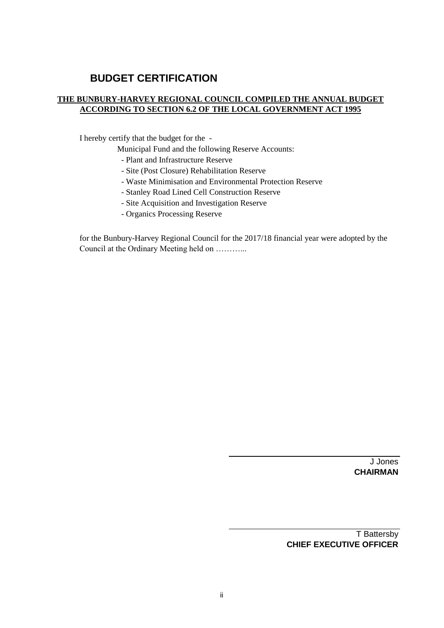### **BUDGET CERTIFICATION**

### **THE BUNBURY-HARVEY REGIONAL COUNCIL COMPILED THE ANNUAL BUDGET ACCORDING TO SECTION 6.2 OF THE LOCAL GOVERNMENT ACT 1995**

I hereby certify that the budget for the -

Municipal Fund and the following Reserve Accounts:

- Plant and Infrastructure Reserve
- Site (Post Closure) Rehabilitation Reserve
- Waste Minimisation and Environmental Protection Reserve
- Stanley Road Lined Cell Construction Reserve
- Site Acquisition and Investigation Reserve
- Organics Processing Reserve

for the Bunbury-Harvey Regional Council for the 2017/18 financial year were adopted by the Council at the Ordinary Meeting held on ………...

> J Jones **CHAIRMAN**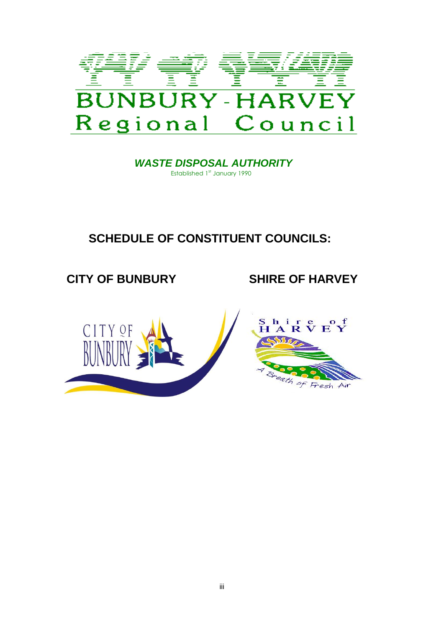

 *WASTE DISPOSAL AUTHORITY* Established 1st January 1990

# **SCHEDULE OF CONSTITUENT COUNCILS:**

# **CITY OF BUNBURY SHIRE OF HARVEY**

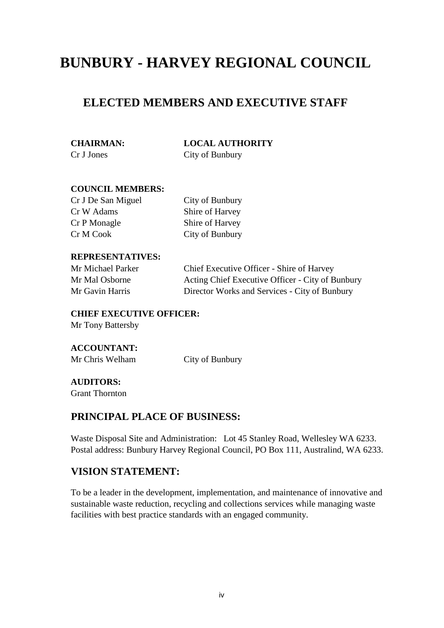# **BUNBURY - HARVEY REGIONAL COUNCIL**

## **ELECTED MEMBERS AND EXECUTIVE STAFF**

**CHAIRMAN: LOCAL AUTHORITY** Cr J Jones City of Bunbury

### **COUNCIL MEMBERS:**

Cr J De San Miguel City of Bunbury Cr W Adams Shire of Harvey Cr P Monagle Shire of Harvey Cr M Cook City of Bunbury

### **REPRESENTATIVES:**

Mr Michael Parker Chief Executive Officer - Shire of Harvey Mr Mal Osborne Acting Chief Executive Officer - City of Bunbury Mr Gavin Harris Director Works and Services - City of Bunbury

### **CHIEF EXECUTIVE OFFICER:** Mr Tony Battersby

# **ACCOUNTANT:**

Mr Chris Welham City of Bunbury

### **AUDITORS:**

Grant Thornton

### **PRINCIPAL PLACE OF BUSINESS:**

Waste Disposal Site and Administration: Lot 45 Stanley Road, Wellesley WA 6233. Postal address: Bunbury Harvey Regional Council, PO Box 111, Australind, WA 6233.

### **VISION STATEMENT:**

To be a leader in the development, implementation, and maintenance of innovative and sustainable waste reduction, recycling and collections services while managing waste facilities with best practice standards with an engaged community.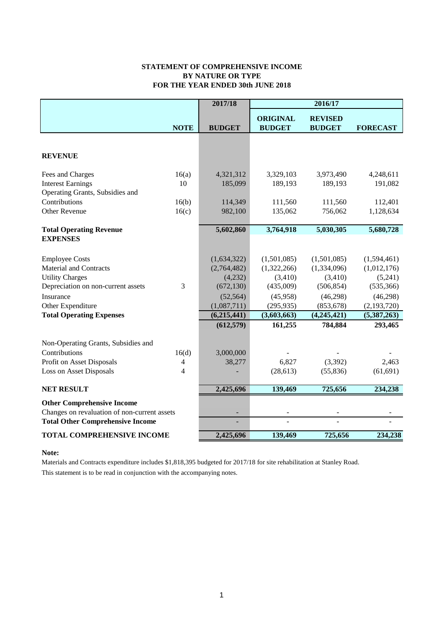#### **STATEMENT OF COMPREHENSIVE INCOME FOR THE YEAR ENDED 30th JUNE 2018 BY NATURE OR TYPE**

|                                              |                | 2017/18       |                                  | 2016/17                         |                 |
|----------------------------------------------|----------------|---------------|----------------------------------|---------------------------------|-----------------|
|                                              | <b>NOTE</b>    | <b>BUDGET</b> | <b>ORIGINAL</b><br><b>BUDGET</b> | <b>REVISED</b><br><b>BUDGET</b> | <b>FORECAST</b> |
|                                              |                |               |                                  |                                 |                 |
| <b>REVENUE</b>                               |                |               |                                  |                                 |                 |
| Fees and Charges                             | 16(a)          | 4,321,312     | 3,329,103                        | 3,973,490                       | 4,248,611       |
| <b>Interest Earnings</b>                     | 10             | 185,099       | 189,193                          | 189,193                         | 191,082         |
| Operating Grants, Subsidies and              |                |               |                                  |                                 |                 |
| Contributions                                | 16(b)          | 114,349       | 111,560                          | 111,560                         | 112,401         |
| <b>Other Revenue</b>                         | 16(c)          | 982,100       | 135,062                          | 756,062                         | 1,128,634       |
| <b>Total Operating Revenue</b>               |                | 5,602,860     | 3,764,918                        | 5,030,305                       | 5,680,728       |
| <b>EXPENSES</b>                              |                |               |                                  |                                 |                 |
| <b>Employee Costs</b>                        |                | (1,634,322)   | (1,501,085)                      | (1,501,085)                     | (1,594,461)     |
| <b>Material and Contracts</b>                |                | (2,764,482)   | (1,322,266)                      | (1,334,096)                     | (1,012,176)     |
| <b>Utility Charges</b>                       |                | (4,232)       | (3,410)                          | (3,410)                         | (5,241)         |
| Depreciation on non-current assets           | 3              | (672, 130)    | (435,009)                        | (506, 854)                      | (535, 366)      |
| Insurance                                    |                | (52, 564)     | (45,958)                         | (46,298)                        | (46,298)        |
| Other Expenditure                            |                | (1,087,711)   | (295, 935)                       | (853, 678)                      | (2,193,720)     |
| <b>Total Operating Expenses</b>              |                | (6,215,441)   | (3,603,663)                      | (4,245,421)                     | (5,387,263)     |
|                                              |                | (612, 579)    | 161,255                          | 784,884                         | 293,465         |
| Non-Operating Grants, Subsidies and          |                |               |                                  |                                 |                 |
| Contributions                                | 16(d)          | 3,000,000     |                                  |                                 |                 |
| Profit on Asset Disposals                    | 4              | 38,277        | 6,827                            | (3,392)                         | 2,463           |
| <b>Loss on Asset Disposals</b>               | $\overline{4}$ |               | (28, 613)                        | (55,836)                        | (61, 691)       |
| <b>NET RESULT</b>                            |                | 2,425,696     | 139,469                          | 725,656                         | 234,238         |
| <b>Other Comprehensive Income</b>            |                |               |                                  |                                 |                 |
| Changes on revaluation of non-current assets |                |               |                                  |                                 |                 |
| <b>Total Other Comprehensive Income</b>      |                |               |                                  |                                 |                 |
| <b>TOTAL COMPREHENSIVE INCOME</b>            |                | 2,425,696     | 139,469                          | 725,656                         | 234,238         |

#### **Note:**

This statement is to be read in conjunction with the accompanying notes. Materials and Contracts expenditure includes \$1,818,395 budgeted for 2017/18 for site rehabilitation at Stanley Road.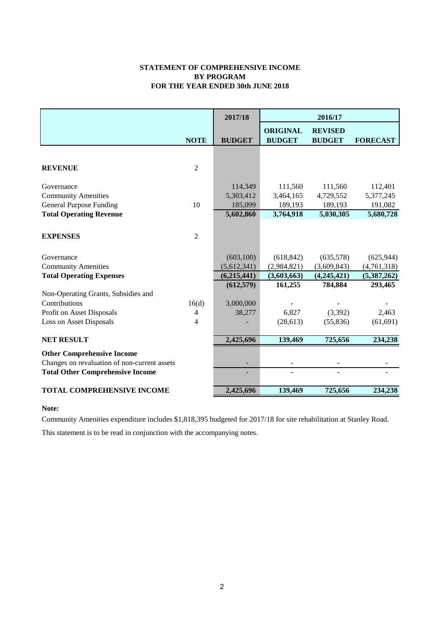#### **STATEMENT OF COMPREHENSIVE INCOME FOR THE YEAR ENDED 30th JUNE 2018 BY PROGRAM**

|                                                               |                | 2017/18       |                                  | 2016/17                         |                        |
|---------------------------------------------------------------|----------------|---------------|----------------------------------|---------------------------------|------------------------|
|                                                               | <b>NOTE</b>    | <b>BUDGET</b> | <b>ORIGINAL</b><br><b>BUDGET</b> | <b>REVISED</b><br><b>BUDGET</b> | <b>FORECAST</b>        |
|                                                               |                |               |                                  |                                 |                        |
|                                                               |                |               |                                  |                                 |                        |
| <b>REVENUE</b>                                                | $\overline{2}$ |               |                                  |                                 |                        |
|                                                               |                |               |                                  |                                 |                        |
| Governance                                                    |                | 114,349       | 111,560                          | 111,560                         | 112,401                |
| <b>Community Amenities</b>                                    |                | 5,303,412     | 3,464,165                        | 4,729,552                       | 5,377,245              |
| <b>General Purpose Funding</b>                                | 10             | 185,099       | 189,193                          | 189,193                         | 191,082                |
| <b>Total Operating Revenue</b>                                |                | 5,602,860     | 3,764,918                        | 5,030,305                       | 5,680,728              |
|                                                               |                |               |                                  |                                 |                        |
| <b>EXPENSES</b>                                               | $\overline{2}$ |               |                                  |                                 |                        |
|                                                               |                |               |                                  |                                 |                        |
| Governance                                                    |                | (603, 100)    | (618, 842)                       | (635,578)                       | (625, 944)             |
|                                                               |                | (5,612,341)   | (2,984,821)                      | (3,609,843)                     |                        |
| <b>Community Amenities</b><br><b>Total Operating Expenses</b> |                | (6,215,441)   | (3,603,663)                      |                                 | (4,761,318)            |
|                                                               |                | (612, 579)    | 161,255                          | (4,245,421)<br>784,884          | (5,387,262)<br>293,465 |
| Non-Operating Grants, Subsidies and                           |                |               |                                  |                                 |                        |
| Contributions                                                 | 16(d)          | 3,000,000     |                                  |                                 |                        |
| Profit on Asset Disposals                                     | 4              | 38,277        | 6,827                            | (3,392)                         | 2,463                  |
| <b>Loss on Asset Disposals</b>                                | 4              |               | (28, 613)                        | (55, 836)                       | (61, 691)              |
|                                                               |                |               |                                  |                                 |                        |
| <b>NET RESULT</b>                                             |                | 2,425,696     | 139,469                          | 725,656                         | 234,238                |
| <b>Other Comprehensive Income</b>                             |                |               |                                  |                                 |                        |
| Changes on revaluation of non-current assets                  |                |               |                                  |                                 |                        |
| <b>Total Other Comprehensive Income</b>                       |                |               |                                  |                                 |                        |
|                                                               |                |               |                                  |                                 |                        |
| <b>TOTAL COMPREHENSIVE INCOME</b>                             |                | 2,425,696     | 139,469                          | 725,656                         | 234,238                |

**Note:**

Community Amenities expenditure includes \$1,818,395 budgeted for 2017/18 for site rehabilitation at Stanley Road.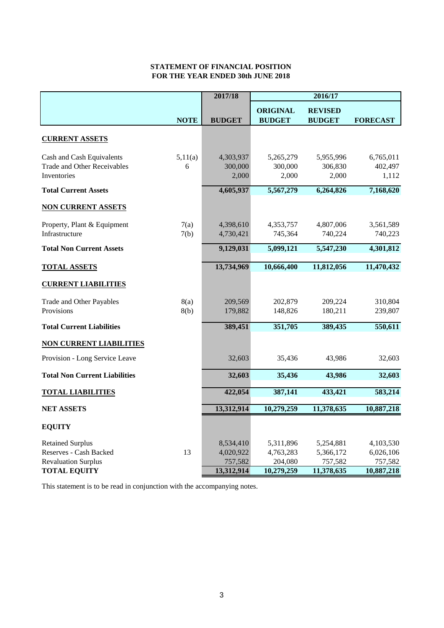### **STATEMENT OF FINANCIAL POSITION FOR THE YEAR ENDED 30th JUNE 2018**

|                                                                                 |              | 2017/18                           | 2016/17                           |                                   |                                   |
|---------------------------------------------------------------------------------|--------------|-----------------------------------|-----------------------------------|-----------------------------------|-----------------------------------|
|                                                                                 | <b>NOTE</b>  | <b>BUDGET</b>                     | <b>ORIGINAL</b><br><b>BUDGET</b>  | <b>REVISED</b><br><b>BUDGET</b>   | <b>FORECAST</b>                   |
| <b>CURRENT ASSETS</b>                                                           |              |                                   |                                   |                                   |                                   |
| Cash and Cash Equivalents<br><b>Trade and Other Receivables</b><br>Inventories  | 5,11(a)<br>6 | 4,303,937<br>300,000<br>2,000     | 5,265,279<br>300,000<br>2,000     | 5,955,996<br>306,830<br>2,000     | 6,765,011<br>402,497<br>1,112     |
| <b>Total Current Assets</b>                                                     |              | 4,605,937                         | 5,567,279                         | 6,264,826                         | 7,168,620                         |
| <b>NON CURRENT ASSETS</b>                                                       |              |                                   |                                   |                                   |                                   |
| Property, Plant & Equipment<br>Infrastructure                                   | 7(a)<br>7(b) | 4,398,610<br>4,730,421            | 4,353,757<br>745,364              | 4,807,006<br>740,224              | 3,561,589<br>740,223              |
| <b>Total Non Current Assets</b>                                                 |              | 9,129,031                         | 5,099,121                         | 5,547,230                         | 4,301,812                         |
| <b>TOTAL ASSETS</b>                                                             |              | 13,734,969                        | 10,666,400                        | 11,812,056                        | 11,470,432                        |
| <b>CURRENT LIABILITIES</b>                                                      |              |                                   |                                   |                                   |                                   |
| Trade and Other Payables<br>Provisions                                          | 8(a)<br>8(b) | 209,569<br>179,882                | 202,879<br>148,826                | 209,224<br>180,211                | 310,804<br>239,807                |
| <b>Total Current Liabilities</b>                                                |              | 389,451                           | 351,705                           | 389,435                           | 550,611                           |
| <b>NON CURRENT LIABILITIES</b>                                                  |              |                                   |                                   |                                   |                                   |
| Provision - Long Service Leave                                                  |              | 32,603                            | 35,436                            | 43,986                            | 32,603                            |
| <b>Total Non Current Liabilities</b>                                            |              | 32,603                            | 35,436                            | 43,986                            | 32,603                            |
| <b>TOTAL LIABILITIES</b>                                                        |              | 422,054                           | 387,141                           | 433,421                           | 583,214                           |
| <b>NET ASSETS</b>                                                               |              | 13,312,914                        | 10,279,259                        | 11,378,635                        | 10,887,218                        |
| <b>EQUITY</b>                                                                   |              |                                   |                                   |                                   |                                   |
| <b>Retained Surplus</b><br>Reserves - Cash Backed<br><b>Revaluation Surplus</b> | 13           | 8,534,410<br>4,020,922<br>757,582 | 5,311,896<br>4,763,283<br>204,080 | 5,254,881<br>5,366,172<br>757,582 | 4,103,530<br>6,026,106<br>757,582 |
| <b>TOTAL EQUITY</b>                                                             |              | 13,312,914                        | 10,279,259                        | 11,378,635                        | 10,887,218                        |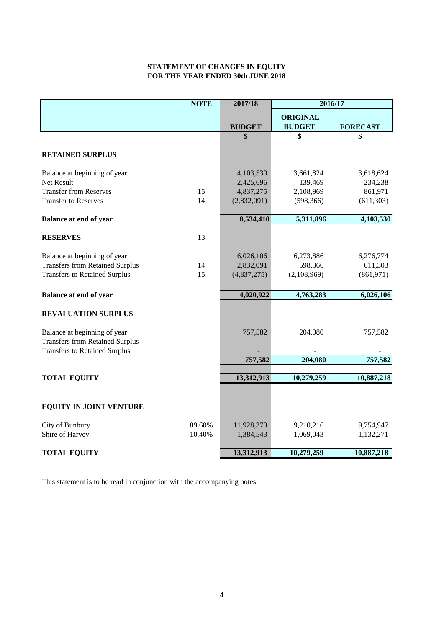### **STATEMENT OF CHANGES IN EQUITY FOR THE YEAR ENDED 30th JUNE 2018**

|                                                                                                                | <b>NOTE</b> | 2017/18                               | 2016/17                             |                                    |
|----------------------------------------------------------------------------------------------------------------|-------------|---------------------------------------|-------------------------------------|------------------------------------|
|                                                                                                                |             |                                       | <b>ORIGINAL</b>                     |                                    |
|                                                                                                                |             | <b>BUDGET</b>                         | <b>BUDGET</b>                       | <b>FORECAST</b>                    |
|                                                                                                                |             | \$                                    | \$                                  | \$                                 |
| <b>RETAINED SURPLUS</b>                                                                                        |             |                                       |                                     |                                    |
| Balance at beginning of year<br>Net Result                                                                     |             | 4,103,530<br>2,425,696                | 3,661,824<br>139,469                | 3,618,624<br>234,238               |
| <b>Transfer from Reserves</b>                                                                                  | 15          | 4,837,275                             | 2,108,969                           | 861,971                            |
| <b>Transfer to Reserves</b>                                                                                    | 14          | (2,832,091)                           | (598, 366)                          | (611, 303)                         |
| <b>Balance at end of year</b>                                                                                  |             | 8,534,410                             | 5,311,896                           | 4,103,530                          |
| <b>RESERVES</b>                                                                                                | 13          |                                       |                                     |                                    |
| Balance at beginning of year<br><b>Transfers from Retained Surplus</b><br><b>Transfers to Retained Surplus</b> | 14<br>15    | 6,026,106<br>2,832,091<br>(4,837,275) | 6,273,886<br>598,366<br>(2,108,969) | 6,276,774<br>611,303<br>(861, 971) |
| <b>Balance at end of year</b>                                                                                  |             | 4,020,922                             | 4,763,283                           | 6,026,106                          |
|                                                                                                                |             |                                       |                                     |                                    |
| <b>REVALUATION SURPLUS</b>                                                                                     |             |                                       |                                     |                                    |
| Balance at beginning of year<br><b>Transfers from Retained Surplus</b><br><b>Transfers to Retained Surplus</b> |             | 757,582                               | 204,080                             | 757,582                            |
|                                                                                                                |             | 757,582                               | 204,080                             | 757,582                            |
|                                                                                                                |             |                                       |                                     |                                    |
| <b>TOTAL EQUITY</b>                                                                                            |             | 13,312,913                            | 10,279,259                          | 10,887,218                         |
|                                                                                                                |             |                                       |                                     |                                    |
| <b>EQUITY IN JOINT VENTURE</b>                                                                                 |             |                                       |                                     |                                    |
| City of Bunbury                                                                                                | 89.60%      | 11,928,370                            | 9,210,216                           | 9,754,947                          |
| Shire of Harvey                                                                                                | 10.40%      | 1,384,543                             | 1,069,043                           | 1,132,271                          |
| <b>TOTAL EQUITY</b>                                                                                            |             | 13,312,913                            | 10,279,259                          | 10,887,218                         |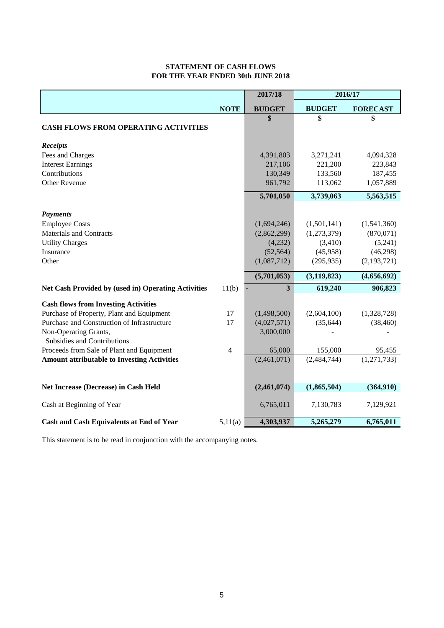#### **STATEMENT OF CASH FLOWS FOR THE YEAR ENDED 30th JUNE 2018**

|                                                     |                | 2017/18       | 2016/17       |                 |
|-----------------------------------------------------|----------------|---------------|---------------|-----------------|
|                                                     | <b>NOTE</b>    | <b>BUDGET</b> | <b>BUDGET</b> | <b>FORECAST</b> |
|                                                     |                | \$            | \$            | \$              |
| <b>CASH FLOWS FROM OPERATING ACTIVITIES</b>         |                |               |               |                 |
| <b>Receipts</b>                                     |                |               |               |                 |
| Fees and Charges                                    |                | 4,391,803     | 3,271,241     | 4,094,328       |
| <b>Interest Earnings</b>                            |                | 217,106       | 221,200       | 223,843         |
| Contributions                                       |                | 130,349       | 133,560       | 187,455         |
| <b>Other Revenue</b>                                |                | 961,792       | 113,062       | 1,057,889       |
|                                                     |                | 5,701,050     | 3,739,063     | 5,563,515       |
| <b>Payments</b>                                     |                |               |               |                 |
| <b>Employee Costs</b>                               |                | (1,694,246)   | (1,501,141)   | (1,541,360)     |
| <b>Materials and Contracts</b>                      |                | (2,862,299)   | (1,273,379)   | (870, 071)      |
| <b>Utility Charges</b>                              |                | (4,232)       | (3,410)       | (5,241)         |
| Insurance                                           |                | (52, 564)     | (45,958)      | (46,298)        |
| Other                                               |                | (1,087,712)   | (295, 935)    | (2,193,721)     |
|                                                     |                | (5,701,053)   | (3, 119, 823) | (4,656,692)     |
| Net Cash Provided by (used in) Operating Activities | 11(b)          | 3             | 619,240       | 906,823         |
| <b>Cash flows from Investing Activities</b>         |                |               |               |                 |
| Purchase of Property, Plant and Equipment           | 17             | (1,498,500)   | (2,604,100)   | (1,328,728)     |
| Purchase and Construction of Infrastructure         | 17             | (4,027,571)   | (35, 644)     | (38, 460)       |
| Non-Operating Grants,                               |                | 3,000,000     |               |                 |
| Subsidies and Contributions                         |                |               |               |                 |
| Proceeds from Sale of Plant and Equipment           | $\overline{4}$ | 65,000        | 155,000       | 95,455          |
| <b>Amount attributable to Investing Activities</b>  |                | (2,461,071)   | (2,484,744)   | (1,271,733)     |
|                                                     |                |               |               |                 |
| Net Increase (Decrease) in Cash Held                |                | (2,461,074)   | (1,865,504)   | (364,910)       |
| Cash at Beginning of Year                           |                | 6,765,011     | 7,130,783     | 7,129,921       |
| <b>Cash and Cash Equivalents at End of Year</b>     | 5,11(a)        | 4,303,937     | 5,265,279     | 6,765,011       |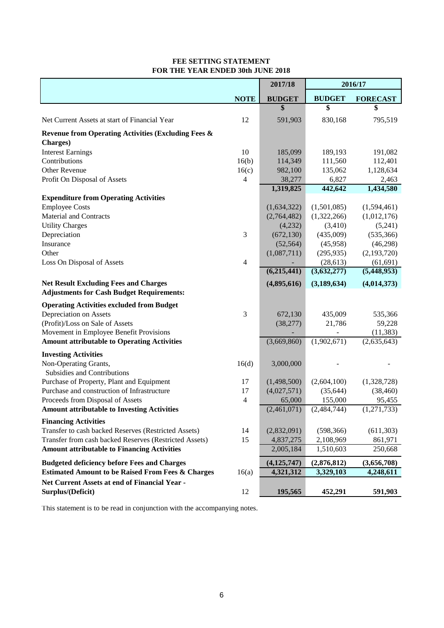#### **FEE SETTING STATEMENT FOR THE YEAR ENDED 30th JUNE 2018**

|                                                                                                  |                | 2017/18       | 2016/17                  |                          |
|--------------------------------------------------------------------------------------------------|----------------|---------------|--------------------------|--------------------------|
|                                                                                                  | <b>NOTE</b>    | <b>BUDGET</b> | <b>BUDGET</b>            | <b>FORECAST</b>          |
|                                                                                                  |                | \$            | \$                       | \$                       |
| Net Current Assets at start of Financial Year                                                    | 12             | 591,903       | 830,168                  | 795,519                  |
| <b>Revenue from Operating Activities (Excluding Fees &amp;</b>                                   |                |               |                          |                          |
| <b>Charges</b> )                                                                                 |                |               |                          |                          |
| <b>Interest Earnings</b>                                                                         | 10             | 185,099       | 189,193                  | 191,082                  |
| Contributions                                                                                    | 16(b)          | 114,349       | 111,560                  | 112,401                  |
| Other Revenue                                                                                    | 16(c)          | 982,100       | 135,062                  | 1,128,634                |
| Profit On Disposal of Assets                                                                     | 4              | 38,277        | 6,827                    | 2,463                    |
|                                                                                                  |                | 1,319,825     | 442,642                  | 1,434,580                |
| <b>Expenditure from Operating Activities</b>                                                     |                |               |                          |                          |
| <b>Employee Costs</b>                                                                            |                | (1,634,322)   | (1,501,085)              | (1,594,461)              |
| <b>Material and Contracts</b>                                                                    |                | (2,764,482)   | (1,322,266)              | (1,012,176)              |
| <b>Utility Charges</b>                                                                           |                | (4,232)       | (3, 410)                 | (5,241)                  |
| Depreciation                                                                                     | $\mathfrak{Z}$ | (672, 130)    | (435,009)                | (535, 366)               |
| Insurance                                                                                        |                | (52, 564)     | (45,958)                 | (46,298)                 |
| Other                                                                                            |                | (1,087,711)   | (295, 935)               | (2,193,720)              |
| Loss On Disposal of Assets                                                                       | $\overline{4}$ | (6,215,441)   | (28, 613)<br>(3,632,277) | (61, 691)<br>(5,448,953) |
|                                                                                                  |                |               |                          |                          |
| <b>Net Result Excluding Fees and Charges</b><br><b>Adjustments for Cash Budget Requirements:</b> |                | (4,895,616)   | (3, 189, 634)            | (4,014,373)              |
|                                                                                                  |                |               |                          |                          |
| <b>Operating Activities excluded from Budget</b>                                                 | 3              |               |                          |                          |
| Depreciation on Assets                                                                           |                | 672,130       | 435,009                  | 535,366                  |
| (Profit)/Loss on Sale of Assets                                                                  |                | (38,277)      | 21,786                   | 59,228                   |
| Movement in Employee Benefit Provisions<br><b>Amount attributable to Operating Activities</b>    |                | (3,669,860)   | (1,902,671)              | (11, 383)<br>(2,635,643) |
|                                                                                                  |                |               |                          |                          |
| <b>Investing Activities</b>                                                                      |                |               |                          |                          |
| Non-Operating Grants,<br><b>Subsidies and Contributions</b>                                      | 16(d)          | 3,000,000     |                          |                          |
| Purchase of Property, Plant and Equipment                                                        | 17             | (1,498,500)   | (2,604,100)              | (1,328,728)              |
| Purchase and construction of Infrastructure                                                      | 17             | (4,027,571)   | (35, 644)                | (38, 460)                |
| Proceeds from Disposal of Assets                                                                 | $\overline{4}$ | 65,000        | 155,000                  | 95,455                   |
| <b>Amount attributable to Investing Activities</b>                                               |                | (2,461,071)   | (2,484,744)              | (1,271,733)              |
| <b>Financing Activities</b>                                                                      |                |               |                          |                          |
| Transfer to cash backed Reserves (Restricted Assets)                                             | 14             | (2,832,091)   | (598, 366)               | (611, 303)               |
| Transfer from cash backed Reserves (Restricted Assets)                                           | 15             | 4,837,275     | 2,108,969                | 861,971                  |
| <b>Amount attributable to Financing Activities</b>                                               |                | 2,005,184     | 1,510,603                | 250,668                  |
| <b>Budgeted deficiency before Fees and Charges</b>                                               |                | (4, 125, 747) | (2,876,812)              | (3,656,708)              |
| <b>Estimated Amount to be Raised From Fees &amp; Charges</b>                                     | 16(a)          | 4,321,312     | 3,329,103                | 4,248,611                |
| Net Current Assets at end of Financial Year -                                                    |                |               |                          |                          |
| Surplus/(Deficit)                                                                                | 12             | 195,565       | 452,291                  | 591,903                  |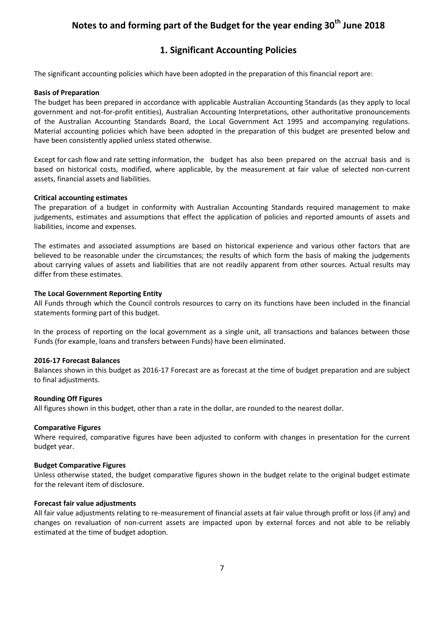### **1. Significant Accounting Policies**

The significant accounting policies which have been adopted in the preparation of this financial report are:

#### **Basis of Preparation**

The budget has been prepared in accordance with applicable Australian Accounting Standards (as they apply to local government and not-for-profit entities), Australian Accounting Interpretations, other authoritative pronouncements of the Australian Accounting Standards Board, the Local Government Act 1995 and accompanying regulations. Material accounting policies which have been adopted in the preparation of this budget are presented below and have been consistently applied unless stated otherwise.

Except for cash flow and rate setting information, the budget has also been prepared on the accrual basis and is based on historical costs, modified, where applicable, by the measurement at fair value of selected non-current assets, financial assets and liabilities.

#### **Critical accounting estimates**

The preparation of a budget in conformity with Australian Accounting Standards required management to make judgements, estimates and assumptions that effect the application of policies and reported amounts of assets and liabilities, income and expenses.

The estimates and associated assumptions are based on historical experience and various other factors that are believed to be reasonable under the circumstances; the results of which form the basis of making the judgements about carrying values of assets and liabilities that are not readily apparent from other sources. Actual results may differ from these estimates.

#### **The Local Government Reporting Entity**

All Funds through which the Council controls resources to carry on its functions have been included in the financial statements forming part of this budget.

In the process of reporting on the local government as a single unit, all transactions and balances between those Funds (for example, loans and transfers between Funds) have been eliminated.

#### **2016-17 Forecast Balances**

Balances shown in this budget as 2016-17 Forecast are as forecast at the time of budget preparation and are subject to final adjustments.

#### **Rounding Off Figures**

All figures shown in this budget, other than a rate in the dollar, are rounded to the nearest dollar.

#### **Comparative Figures**

Where required, comparative figures have been adjusted to conform with changes in presentation for the current budget year.

#### **Budget Comparative Figures**

Unless otherwise stated, the budget comparative figures shown in the budget relate to the original budget estimate for the relevant item of disclosure.

#### **Forecast fair value adjustments**

All fair value adjustments relating to re-measurement of financial assets at fair value through profit or loss (if any) and changes on revaluation of non-current assets are impacted upon by external forces and not able to be reliably estimated at the time of budget adoption.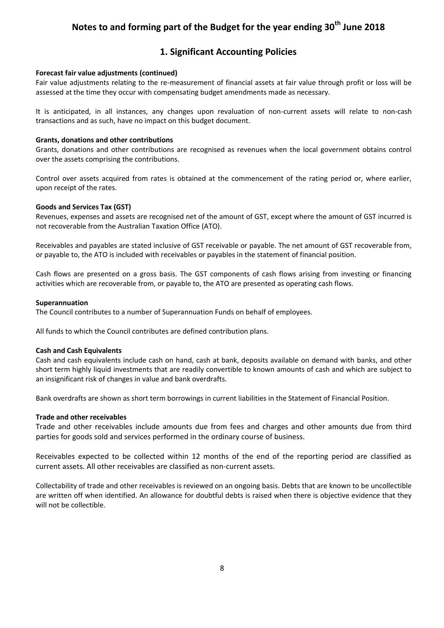### **1. Significant Accounting Policies**

#### **Forecast fair value adjustments (continued)**

Fair value adjustments relating to the re-measurement of financial assets at fair value through profit or loss will be assessed at the time they occur with compensating budget amendments made as necessary.

It is anticipated, in all instances, any changes upon revaluation of non-current assets will relate to non-cash transactions and as such, have no impact on this budget document.

#### **Grants, donations and other contributions**

Grants, donations and other contributions are recognised as revenues when the local government obtains control over the assets comprising the contributions.

Control over assets acquired from rates is obtained at the commencement of the rating period or, where earlier, upon receipt of the rates.

#### **Goods and Services Tax (GST)**

Revenues, expenses and assets are recognised net of the amount of GST, except where the amount of GST incurred is not recoverable from the Australian Taxation Office (ATO).

Receivables and payables are stated inclusive of GST receivable or payable. The net amount of GST recoverable from, or payable to, the ATO is included with receivables or payables in the statement of financial position.

Cash flows are presented on a gross basis. The GST components of cash flows arising from investing or financing activities which are recoverable from, or payable to, the ATO are presented as operating cash flows.

#### **Superannuation**

The Council contributes to a number of Superannuation Funds on behalf of employees.

All funds to which the Council contributes are defined contribution plans.

#### **Cash and Cash Equivalents**

Cash and cash equivalents include cash on hand, cash at bank, deposits available on demand with banks, and other short term highly liquid investments that are readily convertible to known amounts of cash and which are subject to an insignificant risk of changes in value and bank overdrafts.

Bank overdrafts are shown as short term borrowings in current liabilities in the Statement of Financial Position.

#### **Trade and other receivables**

Trade and other receivables include amounts due from fees and charges and other amounts due from third parties for goods sold and services performed in the ordinary course of business.

Receivables expected to be collected within 12 months of the end of the reporting period are classified as current assets. All other receivables are classified as non-current assets.

Collectability of trade and other receivables is reviewed on an ongoing basis. Debts that are known to be uncollectible are written off when identified. An allowance for doubtful debts is raised when there is objective evidence that they will not be collectible.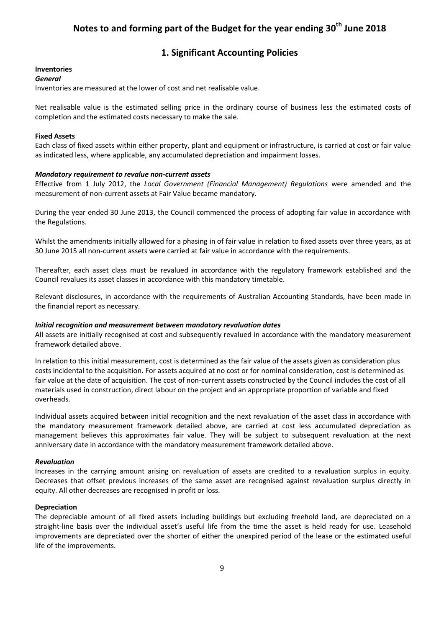### **1. Significant Accounting Policies**

#### **Inventories**

#### *General*

Inventories are measured at the lower of cost and net realisable value.

Net realisable value is the estimated selling price in the ordinary course of business less the estimated costs of completion and the estimated costs necessary to make the sale.

#### **Fixed Assets**

Each class of fixed assets within either property, plant and equipment or infrastructure, is carried at cost or fair value as indicated less, where applicable, any accumulated depreciation and impairment losses.

#### *Mandatory requirement to revalue non-current assets*

Effective from 1 July 2012, the *Local Government (Financial Management) Regulations* were amended and the measurement of non-current assets at Fair Value became mandatory.

During the year ended 30 June 2013, the Council commenced the process of adopting fair value in accordance with the Regulations.

Whilst the amendments initially allowed for a phasing in of fair value in relation to fixed assets over three years, as at 30 June 2015 all non-current assets were carried at fair value in accordance with the requirements.

Thereafter, each asset class must be revalued in accordance with the regulatory framework established and the Council revalues its asset classes in accordance with this mandatory timetable.

Relevant disclosures, in accordance with the requirements of Australian Accounting Standards, have been made in the financial report as necessary.

#### *Initial recognition and measurement between mandatory revaluation dates*

All assets are initially recognised at cost and subsequently revalued in accordance with the mandatory measurement framework detailed above.

In relation to this initial measurement, cost is determined as the fair value of the assets given as consideration plus costs incidental to the acquisition. For assets acquired at no cost or for nominal consideration, cost is determined as fair value at the date of acquisition. The cost of non-current assets constructed by the Council includes the cost of all materials used in construction, direct labour on the project and an appropriate proportion of variable and fixed overheads.

Individual assets acquired between initial recognition and the next revaluation of the asset class in accordance with the mandatory measurement framework detailed above, are carried at cost less accumulated depreciation as management believes this approximates fair value. They will be subject to subsequent revaluation at the next anniversary date in accordance with the mandatory measurement framework detailed above.

#### *Revaluation*

Increases in the carrying amount arising on revaluation of assets are credited to a revaluation surplus in equity. Decreases that offset previous increases of the same asset are recognised against revaluation surplus directly in equity. All other decreases are recognised in profit or loss.

#### **Depreciation**

The depreciable amount of all fixed assets including buildings but excluding freehold land, are depreciated on a straight-line basis over the individual asset's useful life from the time the asset is held ready for use. Leasehold improvements are depreciated over the shorter of either the unexpired period of the lease or the estimated useful life of the improvements.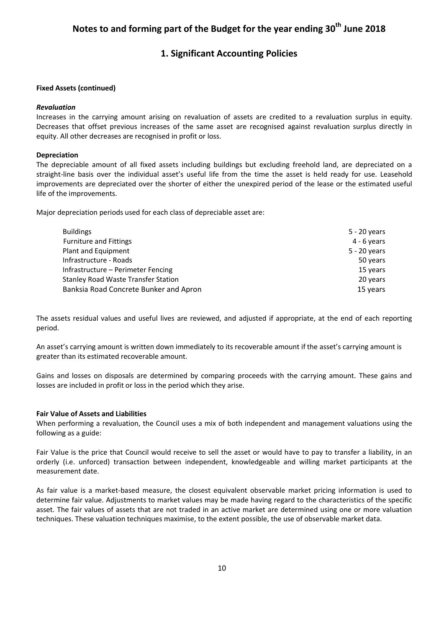### **1. Significant Accounting Policies**

#### **Fixed Assets (continued)**

#### *Revaluation*

Increases in the carrying amount arising on revaluation of assets are credited to a revaluation surplus in equity. Decreases that offset previous increases of the same asset are recognised against revaluation surplus directly in equity. All other decreases are recognised in profit or loss.

#### **Depreciation**

The depreciable amount of all fixed assets including buildings but excluding freehold land, are depreciated on a straight-line basis over the individual asset's useful life from the time the asset is held ready for use. Leasehold improvements are depreciated over the shorter of either the unexpired period of the lease or the estimated useful life of the improvements.

Major depreciation periods used for each class of depreciable asset are:

| <b>Buildings</b>                       | 5 - 20 years   |
|----------------------------------------|----------------|
| <b>Furniture and Fittings</b>          | $4 - 6$ years  |
| Plant and Equipment                    | $5 - 20$ years |
| Infrastructure - Roads                 | 50 years       |
| Infrastructure – Perimeter Fencing     | 15 years       |
| Stanley Road Waste Transfer Station    | 20 years       |
| Banksia Road Concrete Bunker and Apron | 15 years       |

The assets residual values and useful lives are reviewed, and adjusted if appropriate, at the end of each reporting period.

An asset's carrying amount is written down immediately to its recoverable amount if the asset's carrying amount is greater than its estimated recoverable amount.

Gains and losses on disposals are determined by comparing proceeds with the carrying amount. These gains and losses are included in profit or loss in the period which they arise.

#### **Fair Value of Assets and Liabilities**

When performing a revaluation, the Council uses a mix of both independent and management valuations using the following as a guide:

Fair Value is the price that Council would receive to sell the asset or would have to pay to transfer a liability, in an orderly (i.e. unforced) transaction between independent, knowledgeable and willing market participants at the measurement date.

As fair value is a market-based measure, the closest equivalent observable market pricing information is used to determine fair value. Adjustments to market values may be made having regard to the characteristics of the specific asset. The fair values of assets that are not traded in an active market are determined using one or more valuation techniques. These valuation techniques maximise, to the extent possible, the use of observable market data.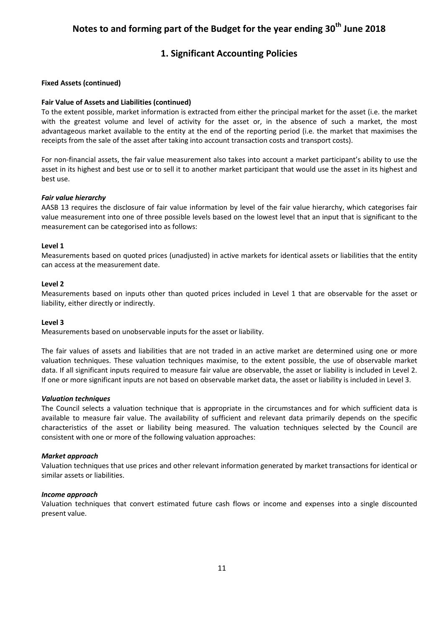### **1. Significant Accounting Policies**

#### **Fixed Assets (continued)**

#### **Fair Value of Assets and Liabilities (continued)**

To the extent possible, market information is extracted from either the principal market for the asset (i.e. the market with the greatest volume and level of activity for the asset or, in the absence of such a market, the most advantageous market available to the entity at the end of the reporting period (i.e. the market that maximises the receipts from the sale of the asset after taking into account transaction costs and transport costs).

For non-financial assets, the fair value measurement also takes into account a market participant's ability to use the asset in its highest and best use or to sell it to another market participant that would use the asset in its highest and best use.

#### *Fair value hierarchy*

AASB 13 requires the disclosure of fair value information by level of the fair value hierarchy, which categorises fair value measurement into one of three possible levels based on the lowest level that an input that is significant to the measurement can be categorised into as follows:

#### **Level 1**

Measurements based on quoted prices (unadjusted) in active markets for identical assets or liabilities that the entity can access at the measurement date.

#### **Level 2**

Measurements based on inputs other than quoted prices included in Level 1 that are observable for the asset or liability, either directly or indirectly.

#### **Level 3**

Measurements based on unobservable inputs for the asset or liability.

The fair values of assets and liabilities that are not traded in an active market are determined using one or more valuation techniques. These valuation techniques maximise, to the extent possible, the use of observable market data. If all significant inputs required to measure fair value are observable, the asset or liability is included in Level 2. If one or more significant inputs are not based on observable market data, the asset or liability is included in Level 3.

#### *Valuation techniques*

The Council selects a valuation technique that is appropriate in the circumstances and for which sufficient data is available to measure fair value. The availability of sufficient and relevant data primarily depends on the specific characteristics of the asset or liability being measured. The valuation techniques selected by the Council are consistent with one or more of the following valuation approaches:

#### *Market approach*

Valuation techniques that use prices and other relevant information generated by market transactions for identical or similar assets or liabilities.

#### *Income approach*

Valuation techniques that convert estimated future cash flows or income and expenses into a single discounted present value.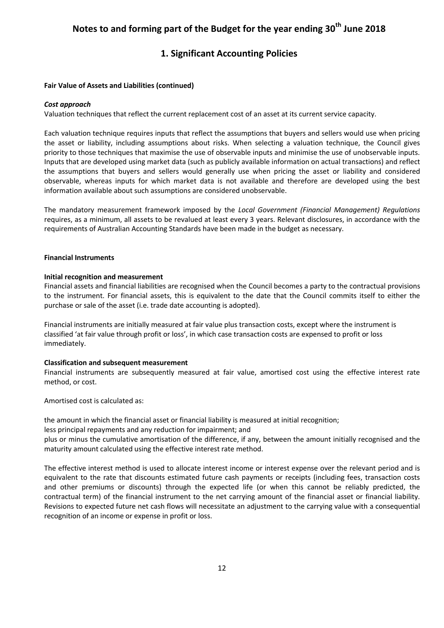### **1. Significant Accounting Policies**

#### **Fair Value of Assets and Liabilities (continued)**

#### *Cost approach*

Valuation techniques that reflect the current replacement cost of an asset at its current service capacity.

Each valuation technique requires inputs that reflect the assumptions that buyers and sellers would use when pricing the asset or liability, including assumptions about risks. When selecting a valuation technique, the Council gives priority to those techniques that maximise the use of observable inputs and minimise the use of unobservable inputs. Inputs that are developed using market data (such as publicly available information on actual transactions) and reflect the assumptions that buyers and sellers would generally use when pricing the asset or liability and considered observable, whereas inputs for which market data is not available and therefore are developed using the best information available about such assumptions are considered unobservable.

The mandatory measurement framework imposed by the *Local Government (Financial Management) Regulations*  requires, as a minimum, all assets to be revalued at least every 3 years. Relevant disclosures, in accordance with the requirements of Australian Accounting Standards have been made in the budget as necessary.

#### **Financial Instruments**

#### **Initial recognition and measurement**

Financial assets and financial liabilities are recognised when the Council becomes a party to the contractual provisions to the instrument. For financial assets, this is equivalent to the date that the Council commits itself to either the purchase or sale of the asset (i.e. trade date accounting is adopted).

Financial instruments are initially measured at fair value plus transaction costs, except where the instrument is classified 'at fair value through profit or loss', in which case transaction costs are expensed to profit or loss immediately.

#### **Classification and subsequent measurement**

Financial instruments are subsequently measured at fair value, amortised cost using the effective interest rate method, or cost.

Amortised cost is calculated as:

the amount in which the financial asset or financial liability is measured at initial recognition;

less principal repayments and any reduction for impairment; and

plus or minus the cumulative amortisation of the difference, if any, between the amount initially recognised and the maturity amount calculated using the effective interest rate method.

The effective interest method is used to allocate interest income or interest expense over the relevant period and is equivalent to the rate that discounts estimated future cash payments or receipts (including fees, transaction costs and other premiums or discounts) through the expected life (or when this cannot be reliably predicted, the contractual term) of the financial instrument to the net carrying amount of the financial asset or financial liability. Revisions to expected future net cash flows will necessitate an adjustment to the carrying value with a consequential recognition of an income or expense in profit or loss.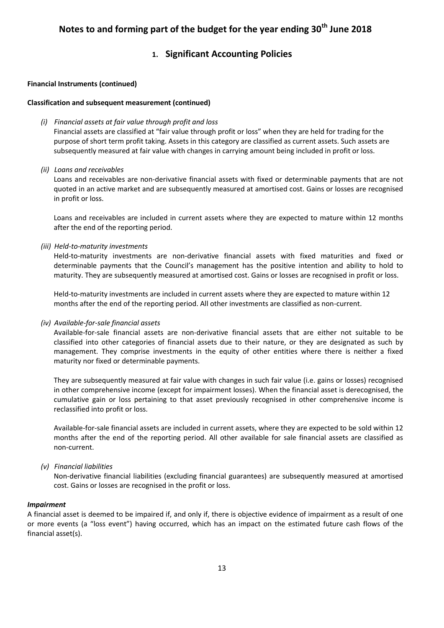### **1. Significant Accounting Policies**

#### **Financial Instruments (continued)**

#### **Classification and subsequent measurement (continued)**

#### *(i) Financial assets at fair value through profit and loss*

Financial assets are classified at "fair value through profit or loss" when they are held for trading for the purpose of short term profit taking. Assets in this category are classified as current assets. Such assets are subsequently measured at fair value with changes in carrying amount being included in profit or loss.

#### *(ii) Loans and receivables*

Loans and receivables are non-derivative financial assets with fixed or determinable payments that are not quoted in an active market and are subsequently measured at amortised cost. Gains or losses are recognised in profit or loss.

Loans and receivables are included in current assets where they are expected to mature within 12 months after the end of the reporting period.

*(iii) Held-to-maturity investments*

Held-to-maturity investments are non-derivative financial assets with fixed maturities and fixed or determinable payments that the Council's management has the positive intention and ability to hold to maturity. They are subsequently measured at amortised cost. Gains or losses are recognised in profit or loss.

Held-to-maturity investments are included in current assets where they are expected to mature within 12 months after the end of the reporting period. All other investments are classified as non-current.

#### *(iv) Available-for-sale financial assets*

Available-for-sale financial assets are non-derivative financial assets that are either not suitable to be classified into other categories of financial assets due to their nature, or they are designated as such by management. They comprise investments in the equity of other entities where there is neither a fixed maturity nor fixed or determinable payments.

They are subsequently measured at fair value with changes in such fair value (i.e. gains or losses) recognised in other comprehensive income (except for impairment losses). When the financial asset is derecognised, the cumulative gain or loss pertaining to that asset previously recognised in other comprehensive income is reclassified into profit or loss.

Available-for-sale financial assets are included in current assets, where they are expected to be sold within 12 months after the end of the reporting period. All other available for sale financial assets are classified as non-current.

#### *(v) Financial liabilities*

Non-derivative financial liabilities (excluding financial guarantees) are subsequently measured at amortised cost. Gains or losses are recognised in the profit or loss.

#### *Impairment*

A financial asset is deemed to be impaired if, and only if, there is objective evidence of impairment as a result of one or more events (a "loss event") having occurred, which has an impact on the estimated future cash flows of the financial asset(s).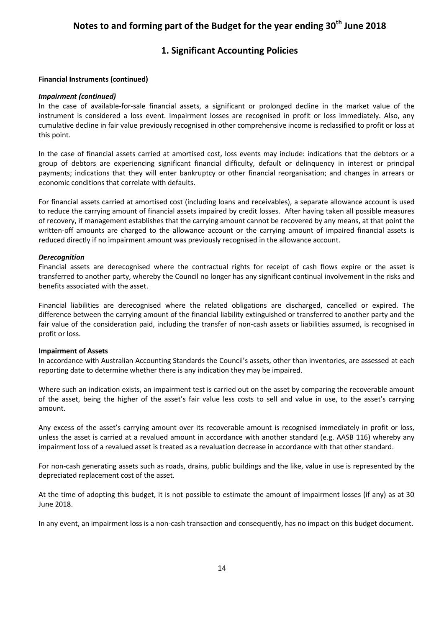### **1. Significant Accounting Policies**

#### **Financial Instruments (continued)**

#### *Impairment (continued)*

In the case of available-for-sale financial assets, a significant or prolonged decline in the market value of the instrument is considered a loss event. Impairment losses are recognised in profit or loss immediately. Also, any cumulative decline in fair value previously recognised in other comprehensive income is reclassified to profit or loss at this point.

In the case of financial assets carried at amortised cost, loss events may include: indications that the debtors or a group of debtors are experiencing significant financial difficulty, default or delinquency in interest or principal payments; indications that they will enter bankruptcy or other financial reorganisation; and changes in arrears or economic conditions that correlate with defaults.

For financial assets carried at amortised cost (including loans and receivables), a separate allowance account is used to reduce the carrying amount of financial assets impaired by credit losses. After having taken all possible measures of recovery, if management establishes that the carrying amount cannot be recovered by any means, at that point the written-off amounts are charged to the allowance account or the carrying amount of impaired financial assets is reduced directly if no impairment amount was previously recognised in the allowance account.

#### *Derecognition*

Financial assets are derecognised where the contractual rights for receipt of cash flows expire or the asset is transferred to another party, whereby the Council no longer has any significant continual involvement in the risks and benefits associated with the asset.

Financial liabilities are derecognised where the related obligations are discharged, cancelled or expired. The difference between the carrying amount of the financial liability extinguished or transferred to another party and the fair value of the consideration paid, including the transfer of non-cash assets or liabilities assumed, is recognised in profit or loss.

#### **Impairment of Assets**

In accordance with Australian Accounting Standards the Council's assets, other than inventories, are assessed at each reporting date to determine whether there is any indication they may be impaired.

Where such an indication exists, an impairment test is carried out on the asset by comparing the recoverable amount of the asset, being the higher of the asset's fair value less costs to sell and value in use, to the asset's carrying amount.

Any excess of the asset's carrying amount over its recoverable amount is recognised immediately in profit or loss, unless the asset is carried at a revalued amount in accordance with another standard (e.g. AASB 116) whereby any impairment loss of a revalued asset is treated as a revaluation decrease in accordance with that other standard.

For non-cash generating assets such as roads, drains, public buildings and the like, value in use is represented by the depreciated replacement cost of the asset.

At the time of adopting this budget, it is not possible to estimate the amount of impairment losses (if any) as at 30 June 2018.

In any event, an impairment loss is a non-cash transaction and consequently, has no impact on this budget document.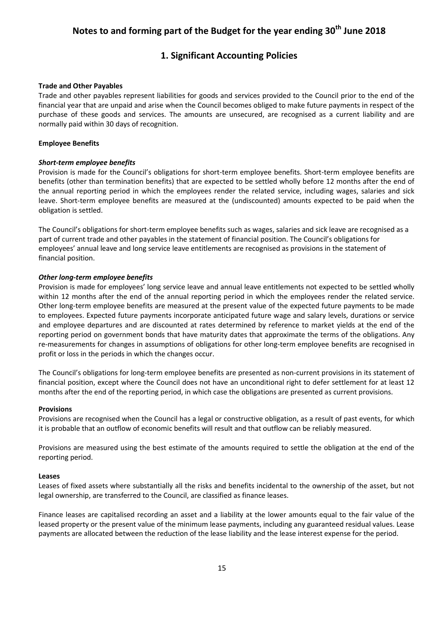### **1. Significant Accounting Policies**

#### **Trade and Other Payables**

Trade and other payables represent liabilities for goods and services provided to the Council prior to the end of the financial year that are unpaid and arise when the Council becomes obliged to make future payments in respect of the purchase of these goods and services. The amounts are unsecured, are recognised as a current liability and are normally paid within 30 days of recognition.

#### **Employee Benefits**

#### *Short-term employee benefits*

Provision is made for the Council's obligations for short-term employee benefits. Short-term employee benefits are benefits (other than termination benefits) that are expected to be settled wholly before 12 months after the end of the annual reporting period in which the employees render the related service, including wages, salaries and sick leave. Short-term employee benefits are measured at the (undiscounted) amounts expected to be paid when the obligation is settled.

The Council's obligations for short-term employee benefits such as wages, salaries and sick leave are recognised as a part of current trade and other payables in the statement of financial position. The Council's obligations for employees' annual leave and long service leave entitlements are recognised as provisions in the statement of financial position.

#### *Other long-term employee benefits*

Provision is made for employees' long service leave and annual leave entitlements not expected to be settled wholly within 12 months after the end of the annual reporting period in which the employees render the related service. Other long-term employee benefits are measured at the present value of the expected future payments to be made to employees. Expected future payments incorporate anticipated future wage and salary levels, durations or service and employee departures and are discounted at rates determined by reference to market yields at the end of the reporting period on government bonds that have maturity dates that approximate the terms of the obligations. Any re-measurements for changes in assumptions of obligations for other long-term employee benefits are recognised in profit or loss in the periods in which the changes occur.

The Council's obligations for long-term employee benefits are presented as non-current provisions in its statement of financial position, except where the Council does not have an unconditional right to defer settlement for at least 12 months after the end of the reporting period, in which case the obligations are presented as current provisions.

#### **Provisions**

Provisions are recognised when the Council has a legal or constructive obligation, as a result of past events, for which it is probable that an outflow of economic benefits will result and that outflow can be reliably measured.

Provisions are measured using the best estimate of the amounts required to settle the obligation at the end of the reporting period.

#### **Leases**

Leases of fixed assets where substantially all the risks and benefits incidental to the ownership of the asset, but not legal ownership, are transferred to the Council, are classified as finance leases.

Finance leases are capitalised recording an asset and a liability at the lower amounts equal to the fair value of the leased property or the present value of the minimum lease payments, including any guaranteed residual values. Lease payments are allocated between the reduction of the lease liability and the lease interest expense for the period.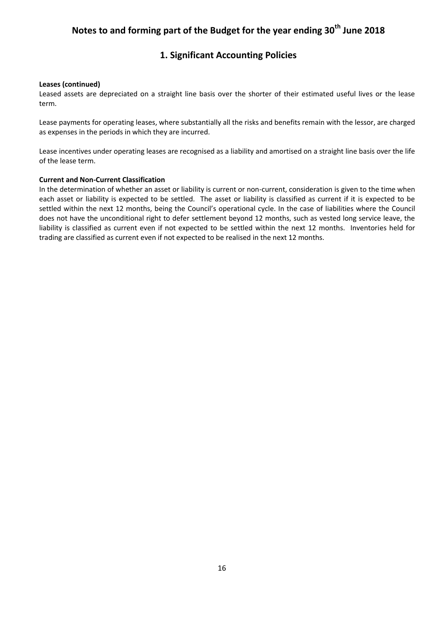### **1. Significant Accounting Policies**

#### **Leases (continued)**

Leased assets are depreciated on a straight line basis over the shorter of their estimated useful lives or the lease term.

Lease payments for operating leases, where substantially all the risks and benefits remain with the lessor, are charged as expenses in the periods in which they are incurred.

Lease incentives under operating leases are recognised as a liability and amortised on a straight line basis over the life of the lease term.

#### **Current and Non-Current Classification**

In the determination of whether an asset or liability is current or non-current, consideration is given to the time when each asset or liability is expected to be settled. The asset or liability is classified as current if it is expected to be settled within the next 12 months, being the Council's operational cycle. In the case of liabilities where the Council does not have the unconditional right to defer settlement beyond 12 months, such as vested long service leave, the liability is classified as current even if not expected to be settled within the next 12 months. Inventories held for trading are classified as current even if not expected to be realised in the next 12 months.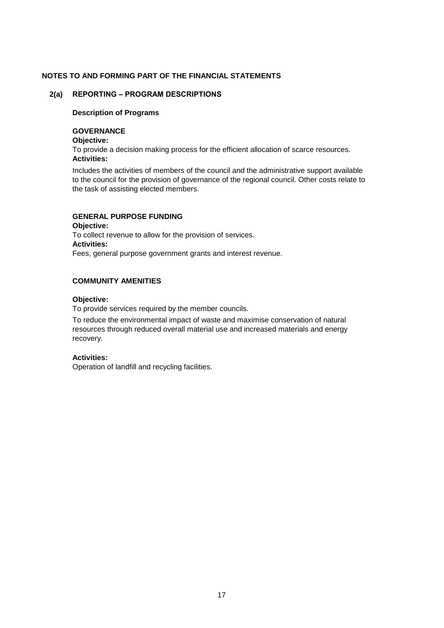#### **2(a) REPORTING – PROGRAM DESCRIPTIONS**

#### **Description of Programs**

#### **GOVERNANCE**

**Objective:**

**Activities:** To provide a decision making process for the efficient allocation of scarce resources.

Includes the activities of members of the council and the administrative support available to the council for the provision of governance of the regional council. Other costs relate to the task of assisting elected members.

### **GENERAL PURPOSE FUNDING**

**Objective:** To collect revenue to allow for the provision of services. **Activities:**  Fees, general purpose government grants and interest revenue.

#### **COMMUNITY AMENITIES**

#### **Objective:**

To provide services required by the member councils.

To reduce the environmental impact of waste and maximise conservation of natural resources through reduced overall material use and increased materials and energy recovery.

#### **Activities:**

Operation of landfill and recycling facilities.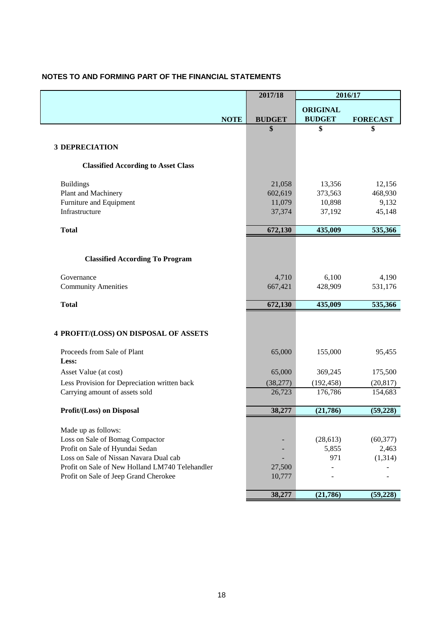|  |  |  | NOTES TO AND FORMING PART OF THE FINANCIAL STATEMENTS |  |
|--|--|--|-------------------------------------------------------|--|
|--|--|--|-------------------------------------------------------|--|

|                                                 | 2017/18       |                 | 2016/17         |
|-------------------------------------------------|---------------|-----------------|-----------------|
|                                                 |               | <b>ORIGINAL</b> |                 |
| <b>NOTE</b>                                     | <b>BUDGET</b> | <b>BUDGET</b>   | <b>FORECAST</b> |
|                                                 | \$            | \$              | \$              |
|                                                 |               |                 |                 |
| <b>3 DEPRECIATION</b>                           |               |                 |                 |
| <b>Classified According to Asset Class</b>      |               |                 |                 |
| <b>Buildings</b>                                | 21,058        | 13,356          | 12,156          |
| Plant and Machinery                             | 602,619       | 373,563         | 468,930         |
| Furniture and Equipment                         | 11,079        | 10,898          | 9,132           |
| Infrastructure                                  | 37,374        | 37,192          | 45,148          |
| <b>Total</b>                                    | 672,130       | 435,009         | 535,366         |
|                                                 |               |                 |                 |
|                                                 |               |                 |                 |
| <b>Classified According To Program</b>          |               |                 |                 |
| Governance                                      | 4,710         | 6,100           | 4,190           |
| <b>Community Amenities</b>                      | 667,421       | 428,909         | 531,176         |
| <b>Total</b>                                    | 672,130       | 435,009         | 535,366         |
|                                                 |               |                 |                 |
| 4 PROFIT/(LOSS) ON DISPOSAL OF ASSETS           |               |                 |                 |
| Proceeds from Sale of Plant                     | 65,000        | 155,000         | 95,455          |
| Less:                                           |               |                 |                 |
| Asset Value (at cost)                           | 65,000        | 369,245         | 175,500         |
| Less Provision for Depreciation written back    | (38, 277)     | (192, 458)      | (20, 817)       |
| Carrying amount of assets sold                  | 26,723        | 176,786         | 154,683         |
| Profit/(Loss) on Disposal                       | 38,277        | (21, 786)       | (59, 228)       |
|                                                 |               |                 |                 |
| Made up as follows:                             |               |                 |                 |
| Loss on Sale of Bomag Compactor                 |               | (28, 613)       | (60, 377)       |
| Profit on Sale of Hyundai Sedan                 |               | 5,855           | 2,463           |
| Loss on Sale of Nissan Navara Dual cab          |               | 971             | (1,314)         |
| Profit on Sale of New Holland LM740 Telehandler | 27,500        |                 |                 |
| Profit on Sale of Jeep Grand Cherokee           | 10,777        |                 |                 |
|                                                 | 38,277        | (21,786)        | (59, 228)       |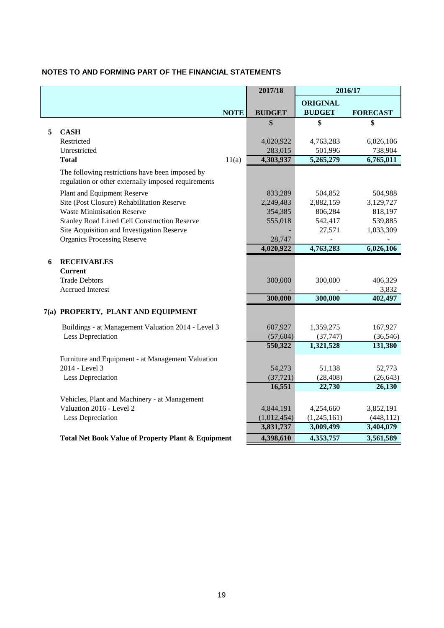|   |                                                     |             | 2017/18       | 2016/17         |                 |
|---|-----------------------------------------------------|-------------|---------------|-----------------|-----------------|
|   |                                                     |             |               | <b>ORIGINAL</b> |                 |
|   |                                                     | <b>NOTE</b> | <b>BUDGET</b> | <b>BUDGET</b>   | <b>FORECAST</b> |
|   |                                                     |             | \$            | \$              | \$              |
| 5 | <b>CASH</b>                                         |             |               |                 |                 |
|   | Restricted                                          |             | 4,020,922     | 4,763,283       | 6,026,106       |
|   | Unrestricted                                        |             | 283,015       | 501,996         | 738,904         |
|   | <b>Total</b>                                        | 11(a)       | 4,303,937     | 5,265,279       | 6,765,011       |
|   | The following restrictions have been imposed by     |             |               |                 |                 |
|   | regulation or other externally imposed requirements |             |               |                 |                 |
|   | Plant and Equipment Reserve                         |             | 833,289       | 504,852         | 504,988         |
|   | Site (Post Closure) Rehabilitation Reserve          |             | 2,249,483     | 2,882,159       | 3,129,727       |
|   | <b>Waste Minimisation Reserve</b>                   |             | 354,385       | 806,284         | 818,197         |
|   | <b>Stanley Road Lined Cell Construction Reserve</b> |             | 555,018       | 542,417         | 539,885         |
|   | Site Acquisition and Investigation Reserve          |             |               | 27,571          | 1,033,309       |
|   | <b>Organics Processing Reserve</b>                  |             | 28,747        |                 |                 |
|   |                                                     |             | 4,020,922     | 4,763,283       | 6,026,106       |
| 6 | <b>RECEIVABLES</b>                                  |             |               |                 |                 |
|   | <b>Current</b>                                      |             |               |                 |                 |
|   | <b>Trade Debtors</b>                                |             | 300,000       | 300,000         | 406,329         |
|   | <b>Accrued Interest</b>                             |             |               |                 | 3,832           |
|   |                                                     |             | 300,000       | 300,000         | 402,497         |
|   | 7(a) PROPERTY, PLANT AND EQUIPMENT                  |             |               |                 |                 |
|   | Buildings - at Management Valuation 2014 - Level 3  |             | 607,927       | 1,359,275       | 167,927         |
|   | Less Depreciation                                   |             | (57, 604)     | (37, 747)       | (36, 546)       |
|   |                                                     |             | 550,322       | 1,321,528       | 131,380         |
|   | Furniture and Equipment - at Management Valuation   |             |               |                 |                 |
|   | 2014 - Level 3                                      |             | 54,273        | 51,138          | 52,773          |
|   | Less Depreciation                                   |             | (37, 721)     | (28, 408)       | (26, 643)       |
|   |                                                     |             | 16,551        | 22,730          | 26,130          |
|   | Vehicles, Plant and Machinery - at Management       |             |               |                 |                 |
|   | Valuation 2016 - Level 2                            |             | 4,844,191     | 4,254,660       | 3,852,191       |
|   | Less Depreciation                                   |             | (1,012,454)   | (1,245,161)     | (448, 112)      |
|   |                                                     |             | 3,831,737     | 3,009,499       | 3,404,079       |
|   | Total Net Book Value of Property Plant & Equipment  |             | 4,398,610     | 4,353,757       | 3,561,589       |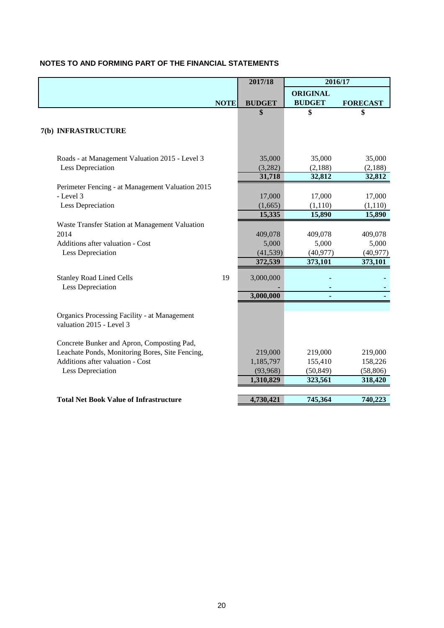|                                                                                 |             | 2017/18       | 2016/17         |                 |
|---------------------------------------------------------------------------------|-------------|---------------|-----------------|-----------------|
|                                                                                 |             |               | <b>ORIGINAL</b> |                 |
|                                                                                 | <b>NOTE</b> | <b>BUDGET</b> | <b>BUDGET</b>   | <b>FORECAST</b> |
|                                                                                 |             | \$            | \$              | \$              |
|                                                                                 |             |               |                 |                 |
| 7(b) INFRASTRUCTURE                                                             |             |               |                 |                 |
|                                                                                 |             |               |                 |                 |
| Roads - at Management Valuation 2015 - Level 3                                  |             | 35,000        | 35,000          | 35,000          |
| Less Depreciation                                                               |             | (3,282)       | (2,188)         | (2,188)         |
|                                                                                 |             | 31,718        | 32,812          | 32,812          |
| Perimeter Fencing - at Management Valuation 2015                                |             |               |                 |                 |
| - Level 3                                                                       |             | 17,000        | 17,000          | 17,000          |
| Less Depreciation                                                               |             | (1,665)       | (1,110)         | (1,110)         |
|                                                                                 |             | 15,335        | 15,890          | 15,890          |
| Waste Transfer Station at Management Valuation                                  |             |               |                 |                 |
| 2014                                                                            |             | 409,078       | 409,078         | 409,078         |
| Additions after valuation - Cost                                                |             | 5,000         | 5,000           | 5,000           |
| Less Depreciation                                                               |             | (41, 539)     | (40, 977)       | (40, 977)       |
|                                                                                 |             | 372,539       | 373,101         | 373,101         |
| <b>Stanley Road Lined Cells</b>                                                 | 19          | 3,000,000     |                 |                 |
| Less Depreciation                                                               |             |               |                 |                 |
|                                                                                 |             | 3,000,000     |                 |                 |
|                                                                                 |             |               |                 |                 |
| <b>Organics Processing Facility - at Management</b><br>valuation 2015 - Level 3 |             |               |                 |                 |
|                                                                                 |             |               |                 |                 |
| Concrete Bunker and Apron, Composting Pad,                                      |             |               |                 |                 |
| Leachate Ponds, Monitoring Bores, Site Fencing,                                 |             | 219,000       | 219,000         | 219,000         |
| Additions after valuation - Cost                                                |             | 1,185,797     | 155,410         | 158,226         |
| Less Depreciation                                                               |             | (93, 968)     | (50, 849)       | (58, 806)       |
|                                                                                 |             | 1,310,829     | 323,561         | 318,420         |
|                                                                                 |             |               |                 |                 |
| <b>Total Net Book Value of Infrastructure</b>                                   |             | 4,730,421     | 745,364         | 740,223         |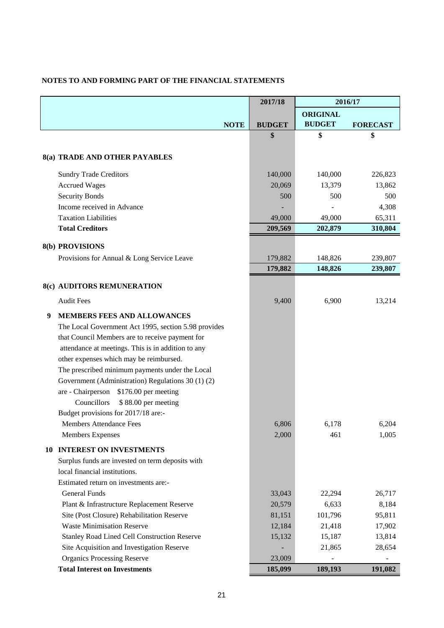|  |  | NOTES TO AND FORMING PART OF THE FINANCIAL STATEMENTS |  |
|--|--|-------------------------------------------------------|--|
|--|--|-------------------------------------------------------|--|

|    |                                                      | 2017/18       | 2016/17         |                 |
|----|------------------------------------------------------|---------------|-----------------|-----------------|
|    |                                                      |               | <b>ORIGINAL</b> |                 |
|    | <b>NOTE</b>                                          | <b>BUDGET</b> | <b>BUDGET</b>   | <b>FORECAST</b> |
|    |                                                      | \$            | \$              | \$              |
|    |                                                      |               |                 |                 |
|    | 8(a) TRADE AND OTHER PAYABLES                        |               |                 |                 |
|    | <b>Sundry Trade Creditors</b>                        | 140,000       | 140,000         | 226,823         |
|    | <b>Accrued Wages</b>                                 | 20,069        | 13,379          | 13,862          |
|    | <b>Security Bonds</b>                                | 500           | 500             | 500             |
|    | Income received in Advance                           |               |                 | 4,308           |
|    | <b>Taxation Liabilities</b>                          | 49,000        | 49,000          | 65,311          |
|    | <b>Total Creditors</b>                               | 209,569       | 202,879         | 310,804         |
|    | 8(b) PROVISIONS                                      |               |                 |                 |
|    | Provisions for Annual & Long Service Leave           | 179,882       | 148,826         | 239,807         |
|    |                                                      | 179,882       | 148,826         | 239,807         |
|    |                                                      |               |                 |                 |
|    | 8(c) AUDITORS REMUNERATION                           |               |                 |                 |
|    | <b>Audit Fees</b>                                    | 9,400         | 6,900           | 13,214          |
| 9  | MEMBERS FEES AND ALLOWANCES                          |               |                 |                 |
|    | The Local Government Act 1995, section 5.98 provides |               |                 |                 |
|    | that Council Members are to receive payment for      |               |                 |                 |
|    | attendance at meetings. This is in addition to any   |               |                 |                 |
|    | other expenses which may be reimbursed.              |               |                 |                 |
|    | The prescribed minimum payments under the Local      |               |                 |                 |
|    | Government (Administration) Regulations 30 (1) (2)   |               |                 |                 |
|    | are - Chairperson<br>\$176.00 per meeting            |               |                 |                 |
|    | Councillors<br>\$88.00 per meeting                   |               |                 |                 |
|    | Budget provisions for 2017/18 are:-                  |               |                 |                 |
|    | <b>Members Attendance Fees</b>                       | 6,806         | 6,178           | 6,204           |
|    | <b>Members Expenses</b>                              | 2,000         | 461             | 1,005           |
| 10 | <b>INTEREST ON INVESTMENTS</b>                       |               |                 |                 |
|    | Surplus funds are invested on term deposits with     |               |                 |                 |
|    | local financial institutions.                        |               |                 |                 |
|    | Estimated return on investments are:-                |               |                 |                 |
|    | General Funds                                        | 33,043        | 22,294          | 26,717          |
|    | Plant & Infrastructure Replacement Reserve           | 20,579        | 6,633           | 8,184           |
|    | Site (Post Closure) Rehabilitation Reserve           | 81,151        | 101,796         | 95,811          |
|    | <b>Waste Minimisation Reserve</b>                    | 12,184        | 21,418          | 17,902          |
|    | <b>Stanley Road Lined Cell Construction Reserve</b>  | 15,132        | 15,187          | 13,814          |
|    | Site Acquisition and Investigation Reserve           |               | 21,865          | 28,654          |
|    | <b>Organics Processing Reserve</b>                   | 23,009        |                 |                 |
|    | <b>Total Interest on Investments</b>                 | 185,099       | 189,193         | 191,082         |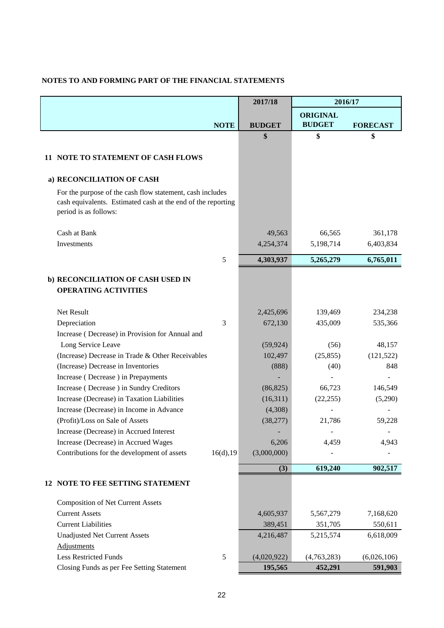|                                                                                                                                                    | 2017/18       | 2016/17         |                 |
|----------------------------------------------------------------------------------------------------------------------------------------------------|---------------|-----------------|-----------------|
|                                                                                                                                                    |               | <b>ORIGINAL</b> |                 |
| <b>NOTE</b>                                                                                                                                        | <b>BUDGET</b> | <b>BUDGET</b>   | <b>FORECAST</b> |
|                                                                                                                                                    | \$            | \$              | \$              |
|                                                                                                                                                    |               |                 |                 |
| 11 NOTE TO STATEMENT OF CASH FLOWS                                                                                                                 |               |                 |                 |
| a) RECONCILIATION OF CASH                                                                                                                          |               |                 |                 |
| For the purpose of the cash flow statement, cash includes<br>cash equivalents. Estimated cash at the end of the reporting<br>period is as follows: |               |                 |                 |
| Cash at Bank                                                                                                                                       | 49,563        | 66,565          | 361,178         |
| Investments                                                                                                                                        | 4,254,374     | 5,198,714       | 6,403,834       |
| 5                                                                                                                                                  | 4,303,937     | 5,265,279       | 6,765,011       |
|                                                                                                                                                    |               |                 |                 |
| b) RECONCILIATION OF CASH USED IN                                                                                                                  |               |                 |                 |
| <b>OPERATING ACTIVITIES</b>                                                                                                                        |               |                 |                 |
| Net Result                                                                                                                                         | 2,425,696     | 139,469         | 234,238         |
| 3<br>Depreciation                                                                                                                                  | 672,130       | 435,009         | 535,366         |
| Increase (Decrease) in Provision for Annual and                                                                                                    |               |                 |                 |
| Long Service Leave                                                                                                                                 | (59, 924)     | (56)            | 48,157          |
| (Increase) Decrease in Trade & Other Receivables                                                                                                   | 102,497       | (25, 855)       | (121, 522)      |
| (Increase) Decrease in Inventories                                                                                                                 | (888)         | (40)            | 848             |
| Increase (Decrease) in Prepayments                                                                                                                 |               |                 |                 |
| Increase (Decrease) in Sundry Creditors                                                                                                            | (86, 825)     | 66,723          | 146,549         |
| Increase (Decrease) in Taxation Liabilities                                                                                                        | (16,311)      | (22, 255)       | (5,290)         |
| Increase (Decrease) in Income in Advance                                                                                                           | (4,308)       |                 |                 |
| (Profit)/Loss on Sale of Assets                                                                                                                    | (38, 277)     | 21,786          | 59,228          |
| Increase (Decrease) in Accrued Interest                                                                                                            |               |                 |                 |
| Increase (Decrease) in Accrued Wages                                                                                                               | 6,206         | 4,459           | 4,943           |
| 16(d), 19<br>Contributions for the development of assets                                                                                           | (3,000,000)   |                 |                 |
|                                                                                                                                                    | (3)           | 619,240         | 902,517         |
| 12 NOTE TO FEE SETTING STATEMENT                                                                                                                   |               |                 |                 |
| <b>Composition of Net Current Assets</b>                                                                                                           |               |                 |                 |
| <b>Current Assets</b>                                                                                                                              | 4,605,937     | 5,567,279       | 7,168,620       |
| <b>Current Liabilities</b>                                                                                                                         | 389,451       | 351,705         | 550,611         |
| <b>Unadjusted Net Current Assets</b>                                                                                                               | 4,216,487     | 5,215,574       | 6,618,009       |
| Adjustments                                                                                                                                        |               |                 |                 |
| <b>Less Restricted Funds</b><br>5                                                                                                                  | (4,020,922)   | (4,763,283)     | (6,026,106)     |
| Closing Funds as per Fee Setting Statement                                                                                                         | 195,565       | 452,291         | 591,903         |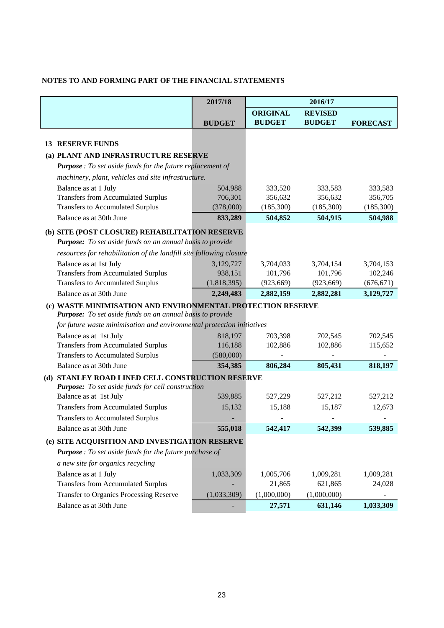|                                                                                    | 2017/18       |                 | 2016/17        |                 |
|------------------------------------------------------------------------------------|---------------|-----------------|----------------|-----------------|
|                                                                                    |               | <b>ORIGINAL</b> | <b>REVISED</b> |                 |
|                                                                                    | <b>BUDGET</b> | <b>BUDGET</b>   | <b>BUDGET</b>  | <b>FORECAST</b> |
|                                                                                    |               |                 |                |                 |
| <b>13 RESERVE FUNDS</b>                                                            |               |                 |                |                 |
| (a) PLANT AND INFRASTRUCTURE RESERVE                                               |               |                 |                |                 |
| Purpose : To set aside funds for the future replacement of                         |               |                 |                |                 |
| machinery, plant, vehicles and site infrastructure.                                |               |                 |                |                 |
| Balance as at 1 July                                                               | 504,988       | 333,520         | 333,583        | 333,583         |
| <b>Transfers from Accumulated Surplus</b>                                          | 706,301       | 356,632         | 356,632        | 356,705         |
| <b>Transfers to Accumulated Surplus</b>                                            | (378,000)     | (185,300)       | (185,300)      | (185,300)       |
| Balance as at 30th June                                                            | 833,289       | 504,852         | 504,915        | 504,988         |
| (b) SITE (POST CLOSURE) REHABILITATION RESERVE                                     |               |                 |                |                 |
| <b>Purpose:</b> To set aside funds on an annual basis to provide                   |               |                 |                |                 |
| resources for rehabilitation of the landfill site following closure                |               |                 |                |                 |
| Balance as at 1st July                                                             | 3,129,727     | 3,704,033       | 3,704,154      | 3,704,153       |
| <b>Transfers from Accumulated Surplus</b>                                          | 938,151       | 101,796         | 101,796        | 102,246         |
| <b>Transfers to Accumulated Surplus</b>                                            | (1,818,395)   | (923, 669)      | (923, 669)     | (676, 671)      |
| Balance as at 30th June                                                            | 2,249,483     | 2,882,159       | 2,882,281      | 3,129,727       |
| (c) WASTE MINIMISATION AND ENVIRONMENTAL PROTECTION RESERVE                        |               |                 |                |                 |
| Purpose: To set aside funds on an annual basis to provide                          |               |                 |                |                 |
| for future waste minimisation and environmental protection initiatives             |               |                 |                |                 |
| Balance as at 1st July                                                             | 818,197       | 703,398         | 702,545        | 702,545         |
| <b>Transfers from Accumulated Surplus</b>                                          | 116,188       | 102,886         | 102,886        | 115,652         |
| <b>Transfers to Accumulated Surplus</b>                                            | (580,000)     |                 |                |                 |
| Balance as at 30th June                                                            | 354,385       | 806,284         | 805,431        | 818,197         |
| (d) STANLEY ROAD LINED CELL CONSTRUCTION RESERVE                                   |               |                 |                |                 |
| <b>Purpose:</b> To set aside funds for cell construction<br>Balance as at 1st July | 539,885       | 527,229         | 527,212        | 527,212         |
| <b>Transfers from Accumulated Surplus</b>                                          | 15,132        | 15,188          | 15,187         | 12,673          |
| <b>Transfers to Accumulated Surplus</b>                                            |               |                 |                |                 |
|                                                                                    |               |                 |                |                 |
| Balance as at 30th June                                                            | 555,018       | 542,417         | 542,399        | 539,885         |
| (e) SITE ACQUISITION AND INVESTIGATION RESERVE                                     |               |                 |                |                 |
| <b>Purpose</b> : To set aside funds for the future purchase of                     |               |                 |                |                 |
| a new site for organics recycling                                                  |               |                 |                |                 |
| Balance as at 1 July                                                               | 1,033,309     | 1,005,706       | 1,009,281      | 1,009,281       |
| <b>Transfers from Accumulated Surplus</b>                                          |               | 21,865          | 621,865        | 24,028          |
| <b>Transfer to Organics Processing Reserve</b>                                     | (1,033,309)   | (1,000,000)     | (1,000,000)    |                 |
| Balance as at 30th June                                                            |               | 27,571          | 631,146        | 1,033,309       |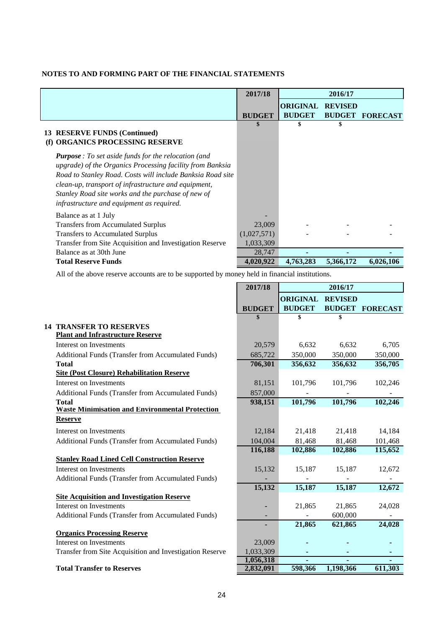|                                                                                                                                                                                                                                                                                                                                                   | 2017/18       |                 | 2016/17        |                        |
|---------------------------------------------------------------------------------------------------------------------------------------------------------------------------------------------------------------------------------------------------------------------------------------------------------------------------------------------------|---------------|-----------------|----------------|------------------------|
|                                                                                                                                                                                                                                                                                                                                                   |               | <b>ORIGINAL</b> | <b>REVISED</b> |                        |
|                                                                                                                                                                                                                                                                                                                                                   | <b>BUDGET</b> | <b>BUDGET</b>   |                | <b>BUDGET FORECAST</b> |
| 13 RESERVE FUNDS (Continued)<br>(f) ORGANICS PROCESSING RESERVE                                                                                                                                                                                                                                                                                   | <b>S</b>      |                 | S              |                        |
| <b>Purpose</b> : To set aside funds for the relocation (and<br>upgrade) of the Organics Processing facility from Banksia<br>Road to Stanley Road. Costs will include Banksia Road site<br>clean-up, transport of infrastructure and equipment,<br>Stanley Road site works and the purchase of new of<br>infrastructure and equipment as required. |               |                 |                |                        |
| Balance as at 1 July                                                                                                                                                                                                                                                                                                                              |               |                 |                |                        |
| <b>Transfers from Accumulated Surplus</b>                                                                                                                                                                                                                                                                                                         | 23,009        |                 |                |                        |
| <b>Transfers to Accumulated Surplus</b>                                                                                                                                                                                                                                                                                                           | (1,027,571)   |                 |                |                        |
| Transfer from Site Acquisition and Investigation Reserve                                                                                                                                                                                                                                                                                          | 1,033,309     |                 |                |                        |
| Balance as at 30th June                                                                                                                                                                                                                                                                                                                           | 28,747        |                 |                |                        |
| <b>Total Reserve Funds</b>                                                                                                                                                                                                                                                                                                                        | 4,020,922     | 4,763,283       | 5,366,172      | 6,026,106              |

 $\blacksquare$ 

4

All of the above reserve accounts are to be supported by money held in financial institutions.

|                                                          | 2017/18                |                 | 2016/17        |                 |
|----------------------------------------------------------|------------------------|-----------------|----------------|-----------------|
|                                                          |                        | <b>ORIGINAL</b> | <b>REVISED</b> |                 |
|                                                          | <b>BUDGET</b>          | <b>BUDGET</b>   | <b>BUDGET</b>  | <b>FORECAST</b> |
|                                                          | \$                     | \$              | \$             |                 |
| <b>14 TRANSFER TO RESERVES</b>                           |                        |                 |                |                 |
| <b>Plant and Infrastructure Reserve</b>                  |                        |                 |                |                 |
| Interest on Investments                                  | 20,579                 | 6,632           | 6,632          | 6,705           |
| Additional Funds (Transfer from Accumulated Funds)       | 685,722                | 350,000         | 350,000        | 350,000         |
| <b>Total</b>                                             | 706,301                | 356,632         | 356,632        | 356,705         |
| <b>Site (Post Closure) Rehabilitation Reserve</b>        |                        |                 |                |                 |
| Interest on Investments                                  | 81,151                 | 101,796         | 101,796        | 102,246         |
| Additional Funds (Transfer from Accumulated Funds)       | 857,000                |                 |                |                 |
| <b>Total</b>                                             | 938,151                | 101,796         | 101,796        | 102,246         |
| <b>Waste Minimisation and Environmental Protection</b>   |                        |                 |                |                 |
| <b>Reserve</b>                                           |                        |                 |                |                 |
| Interest on Investments                                  | 12,184                 | 21,418          | 21,418         | 14,184          |
| Additional Funds (Transfer from Accumulated Funds)       | 104,004                | 81,468          | 81,468         | 101,468         |
|                                                          | 116,188                | 102,886         | 102,886        | 115,652         |
| <b>Stanley Road Lined Cell Construction Reserve</b>      |                        |                 |                |                 |
| Interest on Investments                                  | 15,132                 | 15,187          | 15,187         | 12,672          |
| Additional Funds (Transfer from Accumulated Funds)       |                        |                 |                |                 |
|                                                          | 15,132                 | 15,187          | 15,187         | 12,672          |
| <b>Site Acquisition and Investigation Reserve</b>        |                        |                 |                |                 |
| <b>Interest on Investments</b>                           |                        | 21,865          | 21,865         | 24,028          |
| Additional Funds (Transfer from Accumulated Funds)       |                        |                 | 600,000        |                 |
|                                                          | ٠                      | 21,865          | 621,865        | 24,028          |
| <b>Organics Processing Reserve</b>                       |                        |                 |                |                 |
| <b>Interest on Investments</b>                           | 23,009                 |                 |                |                 |
| Transfer from Site Acquisition and Investigation Reserve | 1,033,309              |                 |                |                 |
| <b>Total Transfer to Reserves</b>                        | 1,056,318<br>2,832,091 | 598,366         | 1,198,366      | 611,303         |
|                                                          |                        |                 |                |                 |

#### **Total Transfer to Reserves**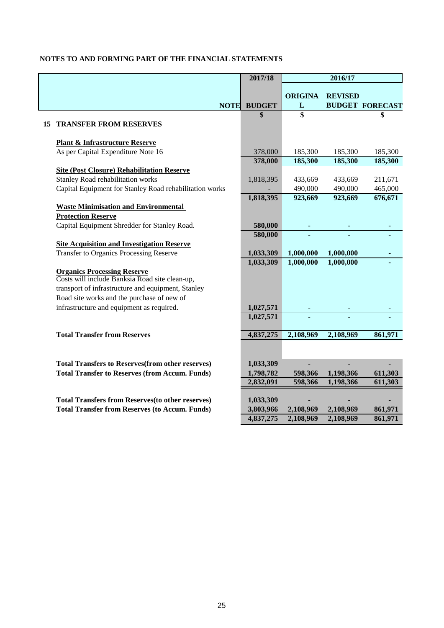|    |                                                                                      | 2017/18                |                        | 2016/17                |                        |
|----|--------------------------------------------------------------------------------------|------------------------|------------------------|------------------------|------------------------|
|    |                                                                                      |                        |                        |                        |                        |
|    |                                                                                      |                        | <b>ORIGINA</b>         | <b>REVISED</b>         |                        |
|    | <b>NOTE</b>                                                                          | <b>BUDGET</b>          | L                      |                        | <b>BUDGET FORECAST</b> |
|    |                                                                                      | \$                     | \$                     |                        | \$                     |
| 15 | <b>TRANSFER FROM RESERVES</b>                                                        |                        |                        |                        |                        |
|    | <b>Plant &amp; Infrastructure Reserve</b>                                            |                        |                        |                        |                        |
|    | As per Capital Expenditure Note 16                                                   | 378,000                | 185,300                | 185,300                | 185,300                |
|    |                                                                                      | 378,000                | 185,300                | 185,300                | 185,300                |
|    | <b>Site (Post Closure) Rehabilitation Reserve</b>                                    |                        |                        |                        |                        |
|    | Stanley Road rehabilitation works                                                    | 1,818,395              | 433,669                | 433,669                | 211,671                |
|    | Capital Equipment for Stanley Road rehabilitation works                              |                        | 490,000                | 490,000                | 465,000                |
|    |                                                                                      | 1,818,395              | 923,669                | 923,669                | 676,671                |
|    | <b>Waste Minimisation and Environmental</b>                                          |                        |                        |                        |                        |
|    | <b>Protection Reserve</b>                                                            |                        |                        |                        |                        |
|    | Capital Equipment Shredder for Stanley Road.                                         | 580,000                |                        |                        |                        |
|    |                                                                                      | 580,000                |                        |                        |                        |
|    | <b>Site Acquisition and Investigation Reserve</b>                                    |                        |                        |                        |                        |
|    | <b>Transfer to Organics Processing Reserve</b>                                       | 1,033,309              | 1,000,000              | 1,000,000              |                        |
|    |                                                                                      | 1,033,309              | 1,000,000              | 1,000,000              |                        |
|    | <b>Organics Processing Reserve</b><br>Costs will include Banksia Road site clean-up, |                        |                        |                        |                        |
|    | transport of infrastructure and equipment, Stanley                                   |                        |                        |                        |                        |
|    | Road site works and the purchase of new of                                           |                        |                        |                        |                        |
|    | infrastructure and equipment as required.                                            | 1,027,571              |                        |                        |                        |
|    |                                                                                      | 1,027,571              |                        |                        |                        |
|    |                                                                                      |                        |                        |                        |                        |
|    | <b>Total Transfer from Reserves</b>                                                  | 4,837,275              | 2,108,969              | 2,108,969              | 861,971                |
|    |                                                                                      |                        |                        |                        |                        |
|    |                                                                                      |                        |                        |                        |                        |
|    | <b>Total Transfers to Reserves (from other reserves)</b>                             | 1,033,309              |                        |                        |                        |
|    | <b>Total Transfer to Reserves (from Accum. Funds)</b>                                | 1,798,782              | 598,366                | 1,198,366              | 611,303                |
|    |                                                                                      | 2,832,091              | 598,366                | 1,198,366              | 611,303                |
|    |                                                                                      |                        |                        |                        |                        |
|    | <b>Total Transfers from Reserves (to other reserves)</b>                             | 1,033,309              |                        |                        |                        |
|    | <b>Total Transfer from Reserves (to Accum. Funds)</b>                                | 3,803,966<br>4,837,275 | 2,108,969<br>2,108,969 | 2,108,969<br>2,108,969 | 861,971<br>861,971     |
|    |                                                                                      |                        |                        |                        |                        |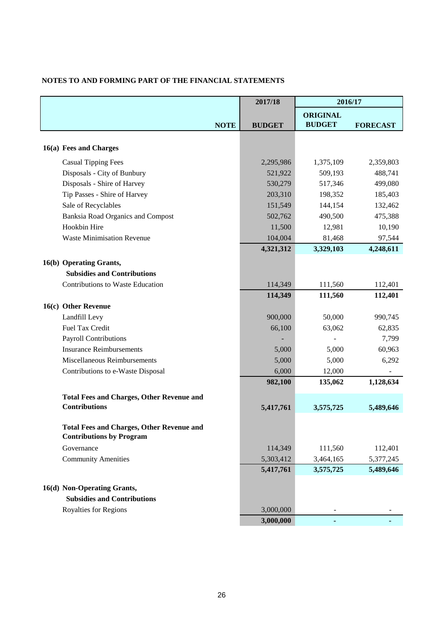|                                                  | 2017/18       |                        | 2016/17         |
|--------------------------------------------------|---------------|------------------------|-----------------|
|                                                  |               | <b>ORIGINAL</b>        |                 |
| <b>NOTE</b>                                      | <b>BUDGET</b> | <b>BUDGET</b>          | <b>FORECAST</b> |
|                                                  |               |                        |                 |
| 16(a) Fees and Charges                           |               |                        |                 |
| <b>Casual Tipping Fees</b>                       | 2,295,986     | 1,375,109              | 2,359,803       |
| Disposals - City of Bunbury                      | 521,922       | 509,193                | 488,741         |
| Disposals - Shire of Harvey                      | 530,279       | 517,346                | 499,080         |
| Tip Passes - Shire of Harvey                     | 203,310       | 198,352                | 185,403         |
| Sale of Recyclables                              | 151,549       | 144,154                | 132,462         |
| <b>Banksia Road Organics and Compost</b>         | 502,762       | 490,500                | 475,388         |
| Hookbin Hire                                     | 11,500        | 12,981                 | 10,190          |
| <b>Waste Minimisation Revenue</b>                | 104,004       | 81,468                 | 97,544          |
|                                                  | 4,321,312     | 3,329,103              | 4,248,611       |
| 16(b) Operating Grants,                          |               |                        |                 |
| <b>Subsidies and Contributions</b>               |               |                        |                 |
| Contributions to Waste Education                 | 114,349       | 111,560                | 112,401         |
|                                                  | 114,349       | 111,560                | 112,401         |
| 16(c) Other Revenue                              |               |                        |                 |
| Landfill Levy                                    | 900,000       | 50,000                 | 990,745         |
| Fuel Tax Credit                                  | 66,100        | 63,062                 | 62,835          |
| Payroll Contributions                            |               |                        | 7,799           |
| <b>Insurance Reimbursements</b>                  | 5,000         | 5,000                  | 60,963          |
| Miscellaneous Reimbursements                     | 5,000         | 5,000                  | 6,292           |
| Contributions to e-Waste Disposal                | 6,000         | 12,000                 |                 |
|                                                  | 982,100       | 135,062                | 1,128,634       |
| <b>Total Fees and Charges, Other Revenue and</b> |               |                        |                 |
| <b>Contributions</b>                             | 5,417,761     | 3,575,725              | 5,489,646       |
|                                                  |               |                        |                 |
| <b>Total Fees and Charges, Other Revenue and</b> |               |                        |                 |
| <b>Contributions by Program</b>                  |               |                        |                 |
| Governance                                       | 114,349       | 111,560                | 112,401         |
| <b>Community Amenities</b>                       | 5,303,412     | 3,464,165<br>3,575,725 | 5,377,245       |
|                                                  | 5,417,761     |                        | 5,489,646       |
| 16(d) Non-Operating Grants,                      |               |                        |                 |
| <b>Subsidies and Contributions</b>               |               |                        |                 |
| <b>Royalties for Regions</b>                     | 3,000,000     |                        |                 |
|                                                  | 3,000,000     |                        |                 |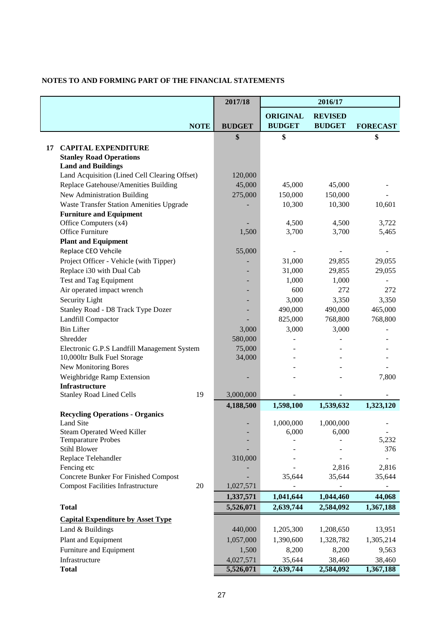|                                                                                         | 2017/18       |                 | 2016/17        |                          |
|-----------------------------------------------------------------------------------------|---------------|-----------------|----------------|--------------------------|
|                                                                                         |               | <b>ORIGINAL</b> | <b>REVISED</b> |                          |
| <b>NOTE</b>                                                                             | <b>BUDGET</b> | <b>BUDGET</b>   | <b>BUDGET</b>  | <b>FORECAST</b>          |
|                                                                                         | \$            | \$              |                | \$                       |
| <b>CAPITAL EXPENDITURE</b><br>17                                                        |               |                 |                |                          |
| <b>Stanley Road Operations</b>                                                          |               |                 |                |                          |
| <b>Land and Buildings</b>                                                               |               |                 |                |                          |
| Land Acquisition (Lined Cell Clearing Offset)                                           | 120,000       |                 |                |                          |
| Replace Gatehouse/Amenities Building                                                    | 45,000        | 45,000          | 45,000         |                          |
| New Administration Building                                                             | 275,000       | 150,000         | 150,000        |                          |
| <b>Waste Transfer Station Amenities Upgrade</b>                                         |               | 10,300          | 10,300         | 10,601                   |
| <b>Furniture and Equipment</b>                                                          |               |                 |                | 3,722                    |
| Office Computers (x4)<br>Office Furniture                                               | 1,500         | 4,500<br>3,700  | 4,500<br>3,700 | 5,465                    |
| <b>Plant and Equipment</b>                                                              |               |                 |                |                          |
| Replace CEO Vehcile                                                                     | 55,000        |                 |                |                          |
| Project Officer - Vehicle (with Tipper)                                                 |               | 31,000          | 29,855         | 29,055                   |
| Replace i30 with Dual Cab                                                               |               | 31,000          | 29,855         | 29,055                   |
| Test and Tag Equipment                                                                  |               | 1,000           | 1,000          |                          |
| Air operated impact wrench                                                              |               | 600             | 272            | 272                      |
| Security Light                                                                          |               | 3,000           | 3,350          | 3,350                    |
| Stanley Road - D8 Track Type Dozer                                                      |               | 490,000         | 490,000        | 465,000                  |
| Landfill Compactor                                                                      |               | 825,000         | 768,800        | 768,800                  |
| <b>Bin Lifter</b>                                                                       | 3,000         | 3,000           | 3,000          |                          |
| Shredder                                                                                | 580,000       |                 |                |                          |
| Electronic G.P.S Landfill Management System                                             | 75,000        |                 |                |                          |
| 10,000ltr Bulk Fuel Storage                                                             | 34,000        |                 |                |                          |
| New Monitoring Bores                                                                    |               |                 |                |                          |
| Weighbridge Ramp Extension                                                              |               |                 |                | 7,800                    |
| <b>Infrastructure</b>                                                                   |               |                 |                |                          |
| 19<br><b>Stanley Road Lined Cells</b>                                                   | 3,000,000     |                 |                |                          |
|                                                                                         | 4,188,500     | 1,598,100       | 1,539,632      | 1,323,120                |
| <b>Recycling Operations - Organics</b>                                                  |               |                 |                |                          |
| Land Site                                                                               |               | 1,000,000       | 1,000,000      |                          |
| <b>Steam Operated Weed Killer</b>                                                       |               | 6,000           | 6,000          | $\overline{\phantom{a}}$ |
| <b>Temparature Probes</b>                                                               |               |                 |                | 5,232                    |
| <b>Stihl Blower</b>                                                                     |               |                 |                | 376                      |
| Replace Telehandler                                                                     | 310,000       |                 |                |                          |
| Fencing etc                                                                             |               |                 | 2,816          | 2,816                    |
| <b>Concrete Bunker For Finished Compost</b><br><b>Compost Facilities Infrastructure</b> |               | 35,644          | 35,644         | 35,644                   |
| 20                                                                                      | 1,027,571     |                 |                |                          |
|                                                                                         | 1,337,571     | 1,041,644       | 1,044,460      | 44,068                   |
| <b>Total</b>                                                                            | 5,526,071     | 2,639,744       | 2,584,092      | 1,367,188                |
| <b>Capital Expenditure by Asset Type</b>                                                |               |                 |                |                          |
| Land & Buildings                                                                        | 440,000       | 1,205,300       | 1,208,650      | 13,951                   |
| Plant and Equipment                                                                     | 1,057,000     | 1,390,600       | 1,328,782      | 1,305,214                |
| Furniture and Equipment                                                                 | 1,500         | 8,200           | 8,200          | 9,563                    |
| Infrastructure                                                                          | 4,027,571     | 35,644          | 38,460         | 38,460                   |
| <b>Total</b>                                                                            | 5,526,071     | 2,639,744       | 2,584,092      | 1,367,188                |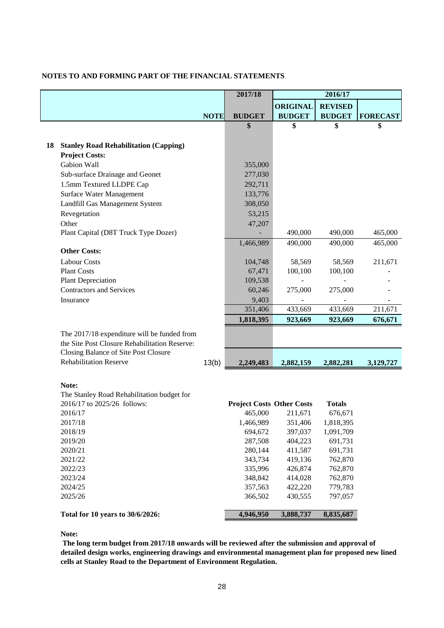|    |                                               |             | 2017/18                          |                 | 2016/17        |                 |
|----|-----------------------------------------------|-------------|----------------------------------|-----------------|----------------|-----------------|
|    |                                               |             |                                  | <b>ORIGINAL</b> | <b>REVISED</b> |                 |
|    |                                               | <b>NOTE</b> | <b>BUDGET</b>                    | <b>BUDGET</b>   | <b>BUDGET</b>  | <b>FORECAST</b> |
|    |                                               |             | \$                               | \$              | \$             | \$              |
|    |                                               |             |                                  |                 |                |                 |
| 18 | <b>Stanley Road Rehabilitation (Capping)</b>  |             |                                  |                 |                |                 |
|    | <b>Project Costs:</b>                         |             |                                  |                 |                |                 |
|    | Gabion Wall                                   |             | 355,000                          |                 |                |                 |
|    | Sub-surface Drainage and Geonet               |             | 277,030                          |                 |                |                 |
|    | 1.5mm Textured LLDPE Cap                      |             | 292,711                          |                 |                |                 |
|    | Surface Water Management                      |             | 133,776                          |                 |                |                 |
|    | Landfill Gas Management System                |             | 308,050                          |                 |                |                 |
|    | Revegetation                                  |             | 53,215                           |                 |                |                 |
|    | Other                                         |             | 47,207                           |                 |                |                 |
|    | Plant Capital (D8T Truck Type Dozer)          |             |                                  | 490,000         | 490,000        | 465,000         |
|    | <b>Other Costs:</b>                           |             | 1,466,989                        | 490,000         | 490,000        | 465,000         |
|    | <b>Labour Costs</b>                           |             |                                  | 58,569          | 58,569         |                 |
|    | <b>Plant Costs</b>                            |             | 104,748<br>67,471                | 100,100         | 100,100        | 211,671         |
|    | <b>Plant Depreciation</b>                     |             | 109,538                          |                 |                |                 |
|    | <b>Contractors and Services</b>               |             | 60,246                           | 275,000         | 275,000        |                 |
|    | Insurance                                     |             | 9,403                            |                 |                |                 |
|    |                                               |             | 351,406                          | 433,669         | 433,669        | 211,671         |
|    |                                               |             | 1,818,395                        | 923,669         | 923,669        | 676,671         |
|    | The 2017/18 expenditure will be funded from   |             |                                  |                 |                |                 |
|    | the Site Post Closure Rehabilitation Reserve: |             |                                  |                 |                |                 |
|    | Closing Balance of Site Post Closure          |             |                                  |                 |                |                 |
|    | <b>Rehabilitation Reserve</b>                 | 13(b)       | 2,249,483                        | 2,882,159       | 2,882,281      | 3,129,727       |
|    |                                               |             |                                  |                 |                |                 |
|    | Note:                                         |             |                                  |                 |                |                 |
|    | The Stanley Road Rehabilitation budget for    |             |                                  |                 |                |                 |
|    | 2016/17 to 2025/26 follows:                   |             | <b>Project Costs Other Costs</b> |                 | <b>Totals</b>  |                 |
|    | 2016/17                                       |             | 465,000                          | 211,671         | 676,671        |                 |
|    | 2017/18                                       |             | 1,466,989                        | 351,406         | 1,818,395      |                 |
|    | 2018/19                                       |             | 694,672                          | 397,037         | 1,091,709      |                 |
|    | 2019/20                                       |             | 287,508                          | 404,223         | 691,731        |                 |
|    | 2020/21                                       |             | 280,144                          | 411,587         | 691,731        |                 |
|    | 2021/22                                       |             | 343,734                          | 419,136         | 762,870        |                 |
|    | 2022/23                                       |             | 335,996                          | 426,874         | 762,870        |                 |
|    | 2023/24                                       |             | 348,842                          | 414,028         | 762,870        |                 |
|    | 2024/25                                       |             | 357,563                          | 422,220         | 779,783        |                 |
|    | 2025/26                                       |             | 366,502                          | 430,555         | 797,057        |                 |
|    | Total for 10 years to 30/6/2026:              |             | 4,946,950                        | 3,888,737       | 8,835,687      |                 |

**Note:**

 **The long term budget from 2017/18 onwards will be reviewed after the submission and approval of detailed design works, engineering drawings and environmental management plan for proposed new lined cells at Stanley Road to the Department of Environment Regulation.**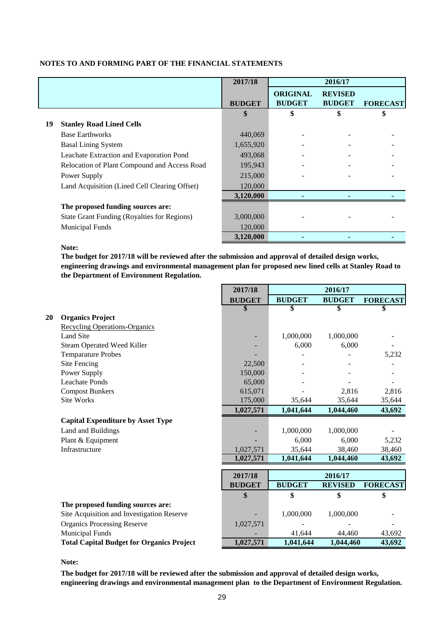|    |                                                    | 2017/18       |                                  | 2016/17                         |                 |
|----|----------------------------------------------------|---------------|----------------------------------|---------------------------------|-----------------|
|    |                                                    | <b>BUDGET</b> | <b>ORIGINAL</b><br><b>BUDGET</b> | <b>REVISED</b><br><b>BUDGET</b> | <b>FORECAST</b> |
|    |                                                    | \$            | \$                               | \$                              | \$              |
| 19 | <b>Stanley Road Lined Cells</b>                    |               |                                  |                                 |                 |
|    | <b>Base Earthworks</b>                             | 440,069       |                                  |                                 |                 |
|    | <b>Basal Lining System</b>                         | 1,655,920     |                                  |                                 |                 |
|    | Leachate Extraction and Evaporation Pond           | 493,068       |                                  |                                 |                 |
|    | Relocation of Plant Compound and Access Road       | 195,943       |                                  |                                 |                 |
|    | Power Supply                                       | 215,000       |                                  |                                 |                 |
|    | Land Acquisition (Lined Cell Clearing Offset)      | 120,000       |                                  |                                 |                 |
|    |                                                    | 3,120,000     |                                  |                                 |                 |
|    | The proposed funding sources are:                  |               |                                  |                                 |                 |
|    | <b>State Grant Funding (Royalties for Regions)</b> | 3,000,000     |                                  |                                 |                 |
|    | <b>Municipal Funds</b>                             | 120,000       |                                  |                                 |                 |
|    |                                                    | 3,120,000     |                                  |                                 |                 |

#### **Note:**

**The budget for 2017/18 will be reviewed after the submission and approval of detailed design works, engineering drawings and environmental management plan for proposed new lined cells at Stanley Road to the Department of Environment Regulation.**

|    |                                                  | 2017/18       | 2016/17       |                |                 |
|----|--------------------------------------------------|---------------|---------------|----------------|-----------------|
|    |                                                  | <b>BUDGET</b> | <b>BUDGET</b> | <b>BUDGET</b>  | <b>FORECAST</b> |
|    |                                                  | \$            | \$            | \$             | \$              |
| 20 | <b>Organics Project</b>                          |               |               |                |                 |
|    | <b>Recycling Operations-Organics</b>             |               |               |                |                 |
|    | <b>Land Site</b>                                 |               | 1,000,000     | 1,000,000      |                 |
|    | Steam Operated Weed Killer                       |               | 6,000         | 6,000          |                 |
|    | <b>Temparature Probes</b>                        |               |               |                | 5,232           |
|    | Site Fencing                                     | 22,500        |               |                |                 |
|    | Power Supply                                     | 150,000       |               |                |                 |
|    | <b>Leachate Ponds</b>                            | 65,000        |               |                |                 |
|    | <b>Compost Bunkers</b>                           | 615,071       |               | 2,816          | 2,816           |
|    | <b>Site Works</b>                                | 175,000       | 35,644        | 35,644         | 35,644          |
|    |                                                  | 1,027,571     | 1,041,644     | 1,044,460      | 43,692          |
|    | <b>Capital Expenditure by Asset Type</b>         |               |               |                |                 |
|    | Land and Buildings                               |               | 1,000,000     | 1,000,000      |                 |
|    | Plant & Equipment                                |               | 6,000         | 6.000          | 5,232           |
|    | Infrastructure                                   | 1,027,571     | 35,644        | 38,460         | 38,460          |
|    |                                                  | 1,027,571     | 1,041,644     | 1,044,460      | 43,692          |
|    |                                                  |               |               |                |                 |
|    |                                                  | 2017/18       |               | 2016/17        |                 |
|    |                                                  | <b>BUDGET</b> | <b>BUDGET</b> | <b>REVISED</b> | <b>FORECAST</b> |
|    |                                                  | \$            | \$            | \$             | \$              |
|    | The proposed funding sources are:                |               |               |                |                 |
|    | Site Acquisition and Investigation Reserve       |               | 1,000,000     | 1,000,000      |                 |
|    | <b>Organics Processing Reserve</b>               | 1,027,571     |               |                |                 |
|    | <b>Municipal Funds</b>                           |               | 41.644        | 44,460         | 43,692          |
|    | <b>Total Capital Budget for Organics Project</b> | 1,027,571     | 1,041,644     | 1,044,460      | 43,692          |

#### **Note:**

**The budget for 2017/18 will be reviewed after the submission and approval of detailed design works, engineering drawings and environmental management plan to the Department of Environment Regulation.**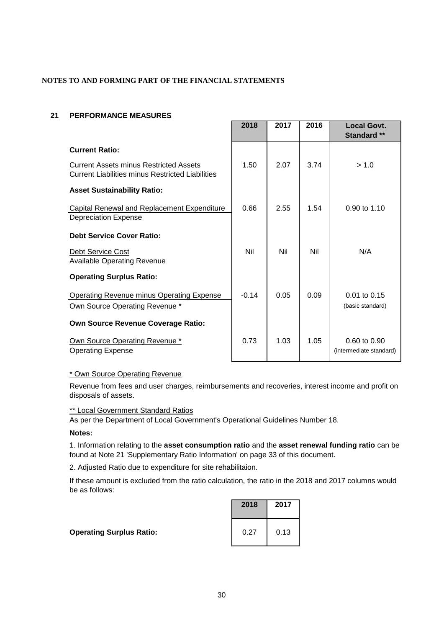#### **21 PERFORMANCE MEASURES**

|                                                                                                   | 2018    | 2017 | 2016 | <b>Local Govt.</b><br><b>Standard **</b>           |
|---------------------------------------------------------------------------------------------------|---------|------|------|----------------------------------------------------|
| <b>Current Ratio:</b>                                                                             |         |      |      |                                                    |
| <b>Current Assets minus Restricted Assets</b><br>Current Liabilities minus Restricted Liabilities | 1.50    | 2.07 | 3.74 | > 1.0                                              |
| <b>Asset Sustainability Ratio:</b>                                                                |         |      |      |                                                    |
| Capital Renewal and Replacement Expenditure<br><b>Depreciation Expense</b>                        | 0.66    | 2.55 | 1.54 | 0.90 to 1.10                                       |
| <b>Debt Service Cover Ratio:</b>                                                                  |         |      |      |                                                    |
| Debt Service Cost<br><b>Available Operating Revenue</b>                                           | Nil     | Nil  | Nil  | N/A                                                |
| <b>Operating Surplus Ratio:</b>                                                                   |         |      |      |                                                    |
| Operating Revenue minus Operating Expense<br>Own Source Operating Revenue *                       | $-0.14$ | 0.05 | 0.09 | 0.01 to 0.15<br>(basic standard)                   |
| <b>Own Source Revenue Coverage Ratio:</b>                                                         |         |      |      |                                                    |
| Own Source Operating Revenue *<br><b>Operating Expense</b>                                        | 0.73    | 1.03 | 1.05 | $0.60 \text{ to } 0.90$<br>(intermediate standard) |

### \* Own Source Operating Revenue

Revenue from fees and user charges, reimbursements and recoveries, interest income and profit on disposals of assets.

#### \*\* Local Government Standard Ratios

As per the Department of Local Government's Operational Guidelines Number 18.

#### **Notes:**

1. Information relating to the **asset consumption ratio** and the **asset renewal funding ratio** can be found at Note 21 'Supplementary Ratio Information' on page 33 of this document.

2. Adjusted Ratio due to expenditure for site rehabilitaion.

If these amount is excluded from the ratio calculation, the ratio in the 2018 and 2017 columns would be as follows:

**Operating Surplus Ratio:** 

| 2018 | 2017 |
|------|------|
| 0.27 | 0.13 |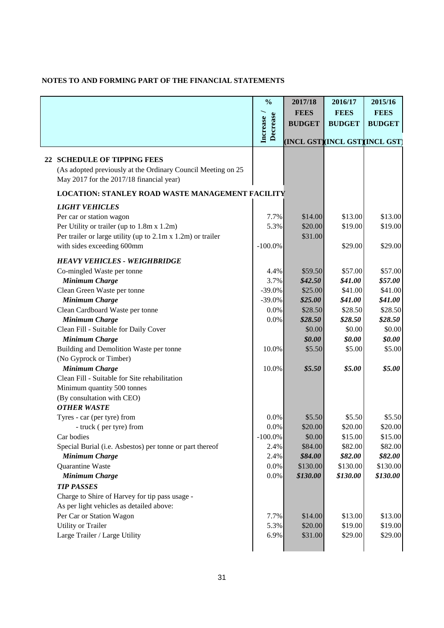|                                                              | $\frac{0}{0}$               | 2017/18                        | 2016/17       | 2015/16       |  |
|--------------------------------------------------------------|-----------------------------|--------------------------------|---------------|---------------|--|
|                                                              |                             | <b>FEES</b>                    | <b>FEES</b>   | <b>FEES</b>   |  |
|                                                              |                             | <b>BUDGET</b>                  | <b>BUDGET</b> | <b>BUDGET</b> |  |
|                                                              | Decrease<br><b>Increase</b> |                                |               |               |  |
|                                                              |                             | (INCL GST)(INCL GST)(INCL GST) |               |               |  |
| 22 SCHEDULE OF TIPPING FEES                                  |                             |                                |               |               |  |
| (As adopted previously at the Ordinary Council Meeting on 25 |                             |                                |               |               |  |
| May 2017 for the 2017/18 financial year)                     |                             |                                |               |               |  |
| <b>LOCATION: STANLEY ROAD WASTE MANAGEMENT FACILITY</b>      |                             |                                |               |               |  |
| <b>LIGHT VEHICLES</b>                                        |                             |                                |               |               |  |
| Per car or station wagon                                     | 7.7%                        | \$14.00                        | \$13.00       | \$13.00       |  |
| Per Utility or trailer (up to 1.8m x 1.2m)                   | 5.3%                        | \$20.00                        | \$19.00       | \$19.00       |  |
| Per trailer or large utility (up to 2.1m x 1.2m) or trailer  |                             | \$31.00                        |               |               |  |
| with sides exceeding 600mm                                   | $-100.0\%$                  |                                | \$29.00       | \$29.00       |  |
|                                                              |                             |                                |               |               |  |
| <b>HEAVY VEHICLES - WEIGHBRIDGE</b>                          |                             |                                |               |               |  |
| Co-mingled Waste per tonne                                   | 4.4%                        | \$59.50                        | \$57.00       | \$57.00       |  |
| <b>Minimum Charge</b>                                        | 3.7%                        | \$42.50                        | \$41.00       | \$57.00       |  |
| Clean Green Waste per tonne                                  | $-39.0%$                    | \$25.00                        | \$41.00       | \$41.00       |  |
| <b>Minimum Charge</b>                                        | $-39.0%$                    | \$25.00                        | \$41.00       | \$41.00       |  |
| Clean Cardboard Waste per tonne                              | 0.0%                        | \$28.50                        | \$28.50       | \$28.50       |  |
| <b>Minimum Charge</b>                                        | 0.0%                        | \$28.50                        | \$28.50       | \$28.50       |  |
| Clean Fill - Suitable for Daily Cover                        |                             | \$0.00                         | \$0.00        | \$0.00        |  |
| <b>Minimum Charge</b>                                        |                             | \$0.00                         | \$0.00        | \$0.00        |  |
| Building and Demolition Waste per tonne                      | 10.0%                       | \$5.50                         | \$5.00        | \$5.00        |  |
| (No Gyprock or Timber)                                       |                             |                                |               |               |  |
| <b>Minimum Charge</b>                                        | 10.0%                       | \$5.50                         | \$5.00        | \$5.00        |  |
| Clean Fill - Suitable for Site rehabilitation                |                             |                                |               |               |  |
| Minimum quantity 500 tonnes                                  |                             |                                |               |               |  |
| (By consultation with CEO)<br><b>OTHER WASTE</b>             |                             |                                |               |               |  |
| Tyres - car (per tyre) from                                  | 0.0%                        | \$5.50                         | \$5.50        | \$5.50        |  |
| - truck (per tyre) from                                      | 0.0%                        | \$20.00                        | \$20.00       | \$20.00       |  |
| Car bodies                                                   | $-100.0\%$                  | \$0.00                         | \$15.00       | \$15.00       |  |
| Special Burial (i.e. Asbestos) per tonne or part thereof     | 2.4%                        | \$84.00                        | \$82.00       | \$82.00       |  |
| <b>Minimum Charge</b>                                        | 2.4%                        | \$84.00                        | \$82.00       | \$82.00       |  |
| Quarantine Waste                                             | 0.0%                        | \$130.00                       | \$130.00      | \$130.00      |  |
| <b>Minimum Charge</b>                                        | 0.0%                        | \$130.00                       | \$130.00      | \$130.00      |  |
| <b>TIP PASSES</b>                                            |                             |                                |               |               |  |
| Charge to Shire of Harvey for tip pass usage -               |                             |                                |               |               |  |
| As per light vehicles as detailed above:                     |                             |                                |               |               |  |
| Per Car or Station Wagon                                     | 7.7%                        | \$14.00                        | \$13.00       | \$13.00       |  |
| <b>Utility or Trailer</b>                                    | 5.3%                        | \$20.00                        | \$19.00       | \$19.00       |  |
| Large Trailer / Large Utility                                | 6.9%                        | \$31.00                        | \$29.00       | \$29.00       |  |
|                                                              |                             |                                |               |               |  |
|                                                              |                             |                                |               |               |  |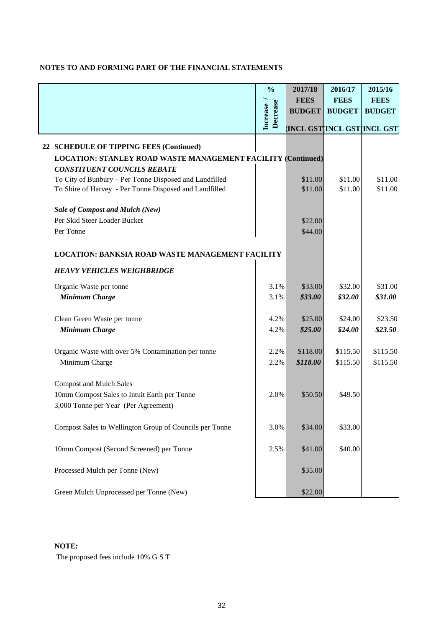|                                                                     | $\frac{0}{0}$             | 2017/18                    | 2016/17       | 2015/16       |
|---------------------------------------------------------------------|---------------------------|----------------------------|---------------|---------------|
|                                                                     |                           | <b>FEES</b>                | <b>FEES</b>   | <b>FEES</b>   |
|                                                                     | Decrease<br><b>BUDGET</b> |                            | <b>BUDGET</b> | <b>BUDGET</b> |
|                                                                     | <b>Increase</b>           | INCL GST INCL GST INCL GST |               |               |
| 22 SCHEDULE OF TIPPING FEES (Continued)                             |                           |                            |               |               |
| <b>LOCATION: STANLEY ROAD WASTE MANAGEMENT FACILITY (Continued)</b> |                           |                            |               |               |
| <b>CONSTITUENT COUNCILS REBATE</b>                                  |                           |                            |               |               |
| To City of Bunbury – Per Tonne Disposed and Landfilled              |                           | \$11.00                    | \$11.00       | \$11.00       |
| To Shire of Harvey - Per Tonne Disposed and Landfilled              |                           | \$11.00                    | \$11.00       | \$11.00       |
| <b>Sale of Compost and Mulch (New)</b>                              |                           |                            |               |               |
| Per Skid Steer Loader Bucket                                        |                           | \$22.00                    |               |               |
| Per Tonne                                                           |                           | \$44.00                    |               |               |
| <b>LOCATION: BANKSIA ROAD WASTE MANAGEMENT FACILITY</b>             |                           |                            |               |               |
| <b>HEAVY VEHICLES WEIGHBRIDGE</b>                                   |                           |                            |               |               |
| Organic Waste per tonne                                             | 3.1%                      | \$33.00                    | \$32.00       | \$31.00       |
| <b>Minimum Charge</b>                                               | 3.1%                      | \$33.00                    | \$32.00       | \$31.00       |
| Clean Green Waste per tonne                                         | 4.2%                      | \$25.00                    | \$24.00       | \$23.50       |
| <b>Minimum Charge</b>                                               | 4.2%                      | \$25.00                    | \$24.00       | \$23.50       |
| Organic Waste with over 5% Contamination per tonne                  | 2.2%                      | \$118.00                   | \$115.50      | \$115.50      |
| Minimum Charge                                                      | 2.2%                      | \$118.00                   | \$115.50      | \$115.50      |
| <b>Compost and Mulch Sales</b>                                      |                           |                            |               |               |
| 10mm Compost Sales to Intuit Earth per Tonne                        | 2.0%                      | \$50.50                    | \$49.50       |               |
| 3,000 Tonne per Year (Per Agreement)                                |                           |                            |               |               |
| Compost Sales to Wellington Group of Councils per Tonne             | 3.0%                      | \$34.00                    | \$33.00       |               |
| 10mm Compost (Second Screened) per Tonne                            | 2.5%                      | \$41.00                    | \$40.00       |               |
| Processed Mulch per Tonne (New)                                     |                           | \$35.00                    |               |               |
| Green Mulch Unprocessed per Tonne (New)                             |                           | \$22.00                    |               |               |

### **NOTE:**

The proposed fees include 10% G S T